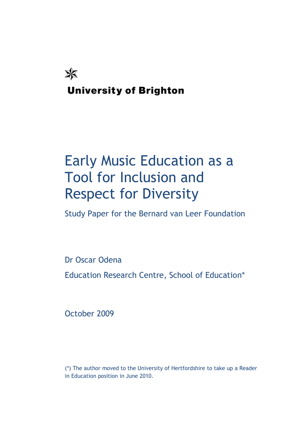

# Early Music Education as a Tool for Inclusion and Respect for Diversity

Study Paper for the Bernard van Leer Foundation

Dr Oscar Odena

Education Research Centre, School of Education\*

October 2009

(\*) The author moved to the University of Hertfordshire to take up a Reader in Education position in June 2010.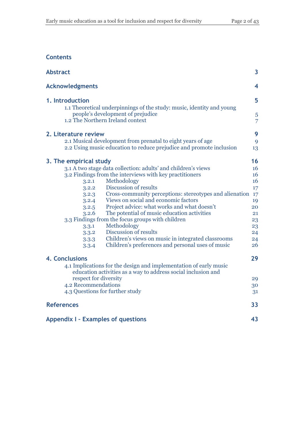## **Contents**

| <b>Abstract</b>                                                                                                                                | 3                       |
|------------------------------------------------------------------------------------------------------------------------------------------------|-------------------------|
| <b>Acknowledgments</b>                                                                                                                         | $\overline{\mathbf{4}}$ |
| 1. Introduction                                                                                                                                | 5                       |
| 1.1 Theoretical underpinnings of the study: music, identity and young<br>people's development of prejudice<br>1.2 The Northern Ireland context | 5<br>$\overline{7}$     |
| 2. Literature review                                                                                                                           | 9                       |
| 2.1 Musical development from prenatal to eight years of age<br>2.2 Using music education to reduce prejudice and promote inclusion             | 9<br>13                 |
| 3. The empirical study                                                                                                                         | 16                      |
| 3.1 A two stage data collection: adults' and children's views                                                                                  | 16                      |
| 3.2 Findings from the interviews with key practitioners                                                                                        | 16                      |
| Methodology<br>3.2.1                                                                                                                           | 16                      |
| Discussion of results<br>3.2.2                                                                                                                 | 17                      |
| Cross-community perceptions: stereotypes and alienation<br>3.2.3                                                                               | 17                      |
| Views on social and economic factors<br>3.2.4                                                                                                  | 19                      |
| Project advice: what works and what doesn't<br>3.2.5                                                                                           | 20                      |
| The potential of music education activities<br>3.2.6                                                                                           | 21                      |
| 3.3 Findings from the focus groups with children                                                                                               | 23                      |
| Methodology<br>3.3.1                                                                                                                           | 23                      |
| Discussion of results<br>3.3.2                                                                                                                 | 24                      |
| Children's views on music in integrated classrooms<br>3.3.3<br>Children's preferences and personal uses of music<br>3.3.4                      | 24<br>26                |
| 4. Conclusions                                                                                                                                 | 29                      |
| 4.1 Implications for the design and implementation of early music<br>education activities as a way to address social inclusion and             |                         |
| respect for diversity                                                                                                                          | 29                      |
| 4.2 Recommendations                                                                                                                            | 30                      |
| 4.3 Questions for further study                                                                                                                | 31                      |
| <b>References</b>                                                                                                                              | 33                      |
| <b>Appendix I - Examples of questions</b>                                                                                                      | 43                      |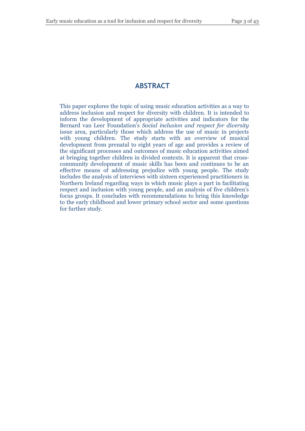#### **ABSTRACT**

This paper explores the topic of using music education activities as a way to address inclusion and respect for diversity with children. It is intended to inform the development of appropriate activities and indicators for the Bernard van Leer Foundation's *Social inclusion and respect for diversity* issue area, particularly those which address the use of music in projects with young children. The study starts with an overview of musical development from prenatal to eight years of age and provides a review of the significant processes and outcomes of music education activities aimed at bringing together children in divided contexts. It is apparent that crosscommunity development of music skills has been and continues to be an effective means of addressing prejudice with young people. The study includes the analysis of interviews with sixteen experienced practitioners in Northern Ireland regarding ways in which music plays a part in facilitating respect and inclusion with young people, and an analysis of five children's focus groups. It concludes with recommendations to bring this knowledge to the early childhood and lower primary school sector and some questions for further study.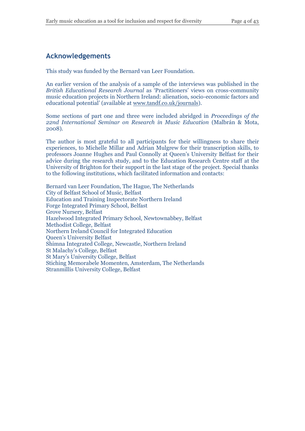## **Acknowledgements**

This study was funded by the Bernard van Leer Foundation.

An earlier version of the analysis of a sample of the interviews was published in the *British Educational Research Journal* as 'Practitioners' views on cross-community music education projects in Northern Ireland: alienation, socio-economic factors and educational potential' (available at [www.tandf.co.uk/journals\)](http://www.tandf.co.uk/journals/carfax/01411926.html).

Some sections of part one and three were included abridged in *Proceedings of the 22nd International Seminar on Research in Music Education* (Malbrán & Mota, 2008).

The author is most grateful to all participants for their willingness to share their experiences, to Michelle Millar and Adrian Mulgrew for their transcription skills, to professors Joanne Hughes and Paul Connolly at Queen's University Belfast for their advice during the research study, and to the Education Research Centre staff at the University of Brighton for their support in the last stage of the project. Special thanks to the following institutions, which facilitated information and contacts:

Bernard van Leer Foundation, The Hague, The Netherlands City of Belfast School of Music, Belfast Education and Training Inspectorate Northern Ireland Forge Integrated Primary School, Belfast Grove Nursery, Belfast Hazelwood Integrated Primary School, Newtownabbey, Belfast Methodist College, Belfast Northern Ireland Council for Integrated Education Queen's University Belfast Shimna Integrated College, Newcastle, Northern Ireland St Malachy's College, Belfast St Mary's University College, Belfast Stiching Memorabele Momenten, Amsterdam, The Netherlands Stranmillis University College, Belfast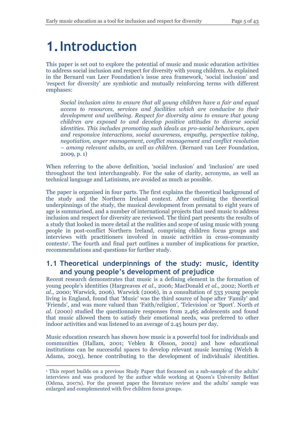## **1.Introduction**

This paper is set out to explore the potential of music and music education activities to address social inclusion and respect for diversity with young children. As explained in the Bernard van Leer Foundation's issue area framework, 'social inclusion' and 'respect for diversity' are symbiotic and mutually reinforcing terms with different emphases:

*Social inclusion aims to ensure that all young children have a fair and equal access to resources, services and facilities which are conducive to their development and wellbeing. Respect for diversity aims to ensure that young children are exposed to and develop positive attitudes to diverse social identities. This includes promoting such ideals as pro-social behaviours, open and responsive interactions, social awareness, empathy, perspective taking, negotiation, anger management, conflict management and conflict resolution – among relevant adults, as well as children.* (Bernard van Leer Foundation, 2009, p. 1)

When referring to the above definition, 'social inclusion' and 'inclusion' are used throughout the text interchangeably. For the sake of clarity, acronyms, as well as technical language and Latinisms, are avoided as much as possible.

The paper is organised in four parts. The first explains the theoretical background of the study and the Northern Ireland context. After outlining the theoretical underpinnings of the study, the musical development from prenatal to eight years of age is summarised, and a number of international projects that used music to address inclusion and respect for diversity are reviewed. The third part presents the results of a study that looked in more detail at the realities and scope of using music with young people in post-conflict Northern Ireland, comprising children focus groups and interviews with practitioners involved in music activities in cross-community contexts<sup>1</sup> . The fourth and final part outlines a number of implications for practice, recommendations and questions for further study.

### **1.1 Theoretical underpinnings of the study: music, identity and young people's development of prejudice**

Recent research demonstrates that music is a defining element in the formation of young people's identities (Hargreaves *et al*., 2006; MacDonald *et al.*, 2002; North *et al*., 2000; Warwick, 2006). Warwick (2006), in a consultation of 533 young people living in England, found that 'Music' was the third source of hope after 'Family' and 'Friends', and was more valued than 'Faith/religion', 'Television' or 'Sport'. North *et al.* (2000) studied the questionnaire responses from 2,465 adolescents and found that music allowed them to satisfy their emotional needs, was preferred to other indoor activities and was listened to an average of 2.45 hours per day.

Music education research has shown how music is a powerful tool for individuals and communities (Hallam, 2001; Veblen & Olsson, 2002) and how educational institutions can be successful spaces to develop relevant music learning (Welch & Adams, 2003), hence contributing to the development of individuals' identities.

 $\overline{a}$ 

<sup>1</sup> This report builds on a previous Study Paper that focussed on a sub-sample of the adults' interviews and was produced by the author while working at Queen's University Belfast (Odena, 2007a). For the present paper the literature review and the adults' sample was enlarged and complemented with five children focus groups.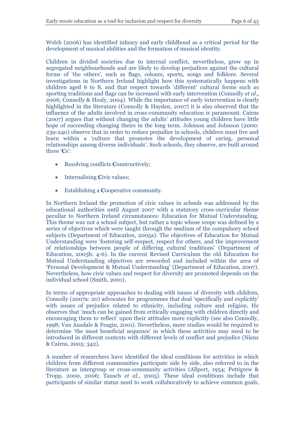Welch (2006) has identified infancy and early childhood as a critical period for the development of musical abilities and the formation of musical identity.

Children in divided societies due to internal conflict, nevertheless, grow up in segregated neighbourhoods and are likely to develop prejudices against the cultural forms of 'the others', such as flags, colours, sports, songs and folklore. Several investigations in Northern Ireland highlight how this systematically happens with children aged 6 to 8, and that respect towards 'different' cultural forms such as sporting traditions and flags can be increased with early intervention (Connolly *et al*., 2006; Connolly & Healy, 2004). While the importance of early intervention is clearly highlighted in the literature (Connolly & Hayden, 2007) it is also observed that the influence of the adults involved in cross-community education is paramount. Cairns (2007) argues that without changing the adults' attitudes young children have little hope of succeeding changing theirs in the long term. Johnson and Johnson (2000: 239-240) observe that in order to reduce prejudice in schools, children must live and learn within a 'culture that promotes the development of caring, personal relationships among diverse individuals'. Such schools, they observe, are built around three '**C**s':

- Resolving conflicts **C**onstructively;
- Internalising **Civic values**;
- Establishing a **C**ooperative community.

In Northern Ireland the promotion of civic values in schools was addressed by the educational authorities until August 2007 with a statutory cross-curricular theme peculiar to Northern Ireland circumstances: Education for Mutual Understanding. This theme was not a school subject, but rather a topic whose scope was defined by a series of objectives which were taught through the medium of the compulsory school subjects (Department of Education, 2005a). The objectives of Education for Mutual Understanding were 'fostering self-respect, respect for others, and the improvement of relationships between people of differing cultural traditions' (Department of Education, 2005b: 4-6). In the current Revised Curriculum the old Education for Mutual Understanding objectives are reworded and included within the area of 'Personal Development & Mutual Understanding' (Department of Education, 2007). Nevertheless, how civic values and respect for diversity are promoted depends on the individual school (Smith, 2001).

In terms of appropriate approaches to dealing with issues of diversity with children, Connolly (2007a: 20) advocates for programmes that deal 'specifically and explicitly' with issues of prejudice related to ethnicity, including culture and religion. He observes that 'much can be gained from critically engaging with children directly and encouraging them to reflect' upon their attitudes more explicitly (see also Connolly, 1998; Van Ausdale & Feagin, 2001). Nevertheless, more studies would be required to determine 'the most beneficial sequence' in which these activities may need to be introduced in different contexts with different levels of conflict and prejudice (Niens & Cairns, 2005: 342).

A number of researchers have identified the ideal conditions for activities in which children from different communities participate side by side, also referred to in the literature as intergroup or cross-community activities (Allport, 1954; Pettigrew & Tropp, 2000, 2006; Tausch *et al*., 2005). These ideal conditions include that participants of similar status need to work collaboratively to achieve common goals,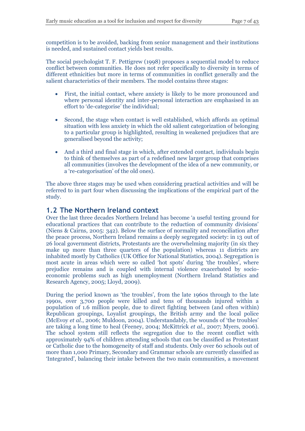competition is to be avoided, backing from senior management and their institutions is needed, and sustained contact yields best results.

The social psychologist T. F. Pettigrew (1998) proposes a sequential model to reduce conflict between communities. He does not refer specifically to diversity in terms of different ethnicities but more in terms of communities in conflict generally and the salient characteristics of their members. The model contains three stages:

- First, the initial contact, where anxiety is likely to be more pronounced and where personal identity and inter-personal interaction are emphasised in an effort to 'de-categorise' the individual;
- Second, the stage when contact is well established, which affords an optimal situation with less anxiety in which the old salient categorization of belonging to a particular group is highlighted, resulting in weakened prejudices that are generalised beyond the activity;
- And a third and final stage in which, after extended contact, individuals begin to think of themselves as part of a redefined new larger group that comprises all communities (involves the development of the idea of a new community, or a 're-categorisation' of the old ones).

The above three stages may be used when considering practical activities and will be referred to in part four when discussing the implications of the empirical part of the study.

## **1.2 The Northern Ireland context**

Over the last three decades Northern Ireland has become 'a useful testing ground for educational practices that can contribute to the reduction of community divisions' (Niens & Cairns, 2005: 342). Below the surface of normality and reconciliation after the peace process, Northern Ireland remains a deeply segregated society: in 13 out of 26 local government districts, Protestants are the overwhelming majority (in six they make up more than three quarters of the population) whereas 11 districts are inhabited mostly by Catholics (UK Office for National Statistics, 2004). Segregation is most acute in areas which were so called 'hot spots' during 'the troubles', where prejudice remains and is coupled with internal violence exacerbated by socioeconomic problems such as high unemployment (Northern Ireland Statistics and Research Agency, 2005; Lloyd, 2009).

During the period known as 'the troubles', from the late 1960s through to the late 1990s, over 3,700 people were killed and tens of thousands injured within a population of 1.6 million people, due to direct fighting between (and often within) Republican groupings, Loyalist groupings, the British army and the local police (McEvoy *et al*., 2006; Muldoon, 2004). Understandably, the wounds of 'the troubles' are taking a long time to heal (Feeney, 2004; McKittrick *et al*., 2007; Myers, 2006). The school system still reflects the segregation due to the recent conflict with approximately 94% of children attending schools that can be classified as Protestant or Catholic due to the homogeneity of staff and students. Only over 60 schools out of more than 1,000 Primary, Secondary and Grammar schools are currently classified as 'Integrated', balancing their intake between the two main communities, a movement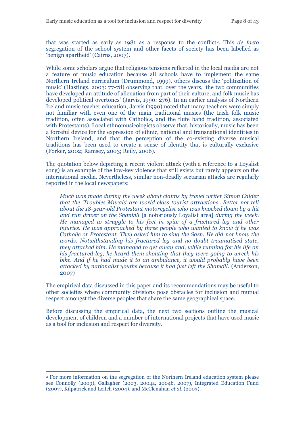that was started as early as 1981 as a response to the conflict<sup>2</sup>. This *de facto* segregation of the school system and other facets of society has been labelled as 'benign apartheid' (Cairns, 2007).

While some scholars argue that religious tensions reflected in the local media are not a feature of music education because all schools have to implement the same Northern Ireland curriculum (Drummond, 1999), others discuss the 'politization of music' (Hastings, 2003: 77-78) observing that, over the years, 'the two communities have developed an attitude of alienation from part of their culture, and folk music has developed political overtones' (Jarvis, 1990: 276). In an earlier analysis of Northern Ireland music teacher education, Jarvis (1990) noted that many teachers were simply not familiar with even one of the main traditional musics (the Irish folk music tradition, often associated with Catholics, and the flute band tradition, associated with Protestants). Local ethnomusicologists observe that, historically, music has been a forceful device for the expression of ethnic, national and transnational identities in Northern Ireland, and that the perception of the co-existing diverse musical traditions has been used to create a sense of identity that is culturally exclusive (Forker, 2002; Ramsey, 2003; Reily, 2006).

The quotation below depicting a recent violent attack (with a reference to a Loyalist song) is an example of the low-key violence that still exists but rarely appears on the international media. Nevertheless, similar non-deadly sectarian attacks are regularly reported in the local newspapers:

*Much was made during the week about claims by travel writer Simon Calder that the 'Troubles Murals' are world class tourist attractions…Better not tell about the 18-year-old Protestant motorcyclist who was knocked down by a hit and run driver on the Shankill* [a notoriously Loyalist area] *during the week. He managed to struggle to his feet in spite of a fractured leg and other injuries. He was approached by three people who wanted to know if he was Catholic or Protestant. They asked him to sing the Sash. He did not know the words. Notwithstanding his fractured leg and no doubt traumatised state, they attacked him. He managed to get away and, while running for his life on his fractured leg, he heard them shouting that they were going to wreck his bike. And if he had made it to an ambulance, it would probably have been attacked by nationalist youths because it had just left the Shankill.* (Anderson, 2007)

The empirical data discussed in this paper and its recommendations may be useful to other societies where community divisions pose obstacles for inclusion and mutual respect amongst the diverse peoples that share the same geographical space.

Before discussing the empirical data, the next two sections outline the musical development of children and a number of international projects that have used music as a tool for inclusion and respect for diversity.

 $\overline{a}$ 

<sup>2</sup> For more information on the segregation of the Northern Ireland education system please see Connolly (2009), Gallagher (2003, 2004a, 2004b, 2007), Integrated Education Fund (2007), Kilpatrick and Leitch (2004), and McClenahan *et al*. (2003).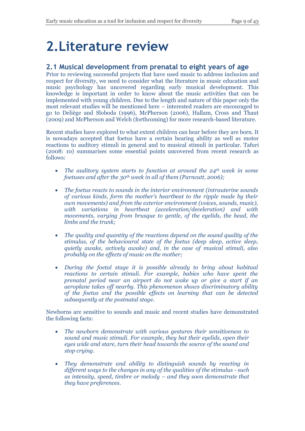## **2.Literature review**

## **2.1 Musical development from prenatal to eight years of age**

Prior to reviewing successful projects that have used music to address inclusion and respect for diversity, we need to consider what the literature in music education and music psychology has uncovered regarding early musical development. This knowledge is important in order to know about the music activities that can be implemented with young children. Due to the length and nature of this paper only the most relevant studies will be mentioned here – interested readers are encouraged to go to Deliège and Sloboda (1996), McPherson (2006), Hallam, Cross and Thaut (2009) and McPherson and Welch (forthcoming) for more research-based literature.

Recent studies have explored to what extent children can hear before they are born. It is nowadays accepted that foetus have a certain hearing ability as well as motor reactions to auditory stimuli in general and to musical stimuli in particular. Tafuri (2008: 10) summarises some essential points uncovered from recent research as follows:

- *The auditory system starts to function at around the 24th week in some foetuses and after the 30th week in all of them (Parncutt, 2006);*
- *The foetus reacts to sounds in the interior environment (intrauterine sounds of various kinds, form the mother's heartbeat to the ripple made by their own movements) and from the exterior environment (voices, sounds, music), with variations in heartbeat (acceleration/deceleration) and with movements, varying from brusque to gentle, of the eyelids, the head, the limbs and the trunk;*
- *The quality and quantity of the reactions depend on the sound quality of the stimulus, of the behavioural state of the foetus (deep sleep, active sleep, quietly awake, actively awake) and, in the case of musical stimuli, also probably on the effects of music on the mother;*
- *During the foetal stage it is possible already to bring about habitual reactions to certain stimuli. For example, babies who have spent the prenatal period near an airport do not wake up or give a start if an aeroplane takes off nearby. This phenomenon shows discriminatory ability of the foetus and the possible effects on learning that can be detected subsequently at the postnatal stage.*

Newborns are sensitive to sounds and music and recent studies have demonstrated the following facts:

- *The newborn demonstrate with various gestures their sensitiveness to sound and music stimuli. For example, they bat their eyelids, open their eyes wide and stare, turn their head towards the source of the sound and stop crying.*
- *They demonstrate and ability to distinguish sounds by reacting in different ways to the changes in any of the qualities of the stimulus - such as intensity, speed, timbre or melody – and they soon demonstrate that they have preferences.*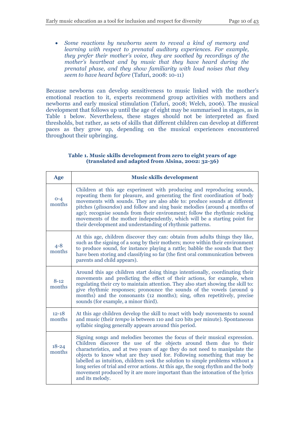*Some reactions by newborns seem to reveal a kind of memory and learning with respect to prenatal auditory experiences. For example, they prefer their mother's voice, they are soothed by recordings of the mother's heartbeat and by music that they have heard during the prenatal phase, and they show familiarity with loud noises that they seem to have heard before* (Tafuri, 2008: 10-11)

Because newborns can develop sensitiveness to music linked with the mother's emotional reaction to it, experts recommend group activities with mothers and newborns and early musical stimulation (Tafuri, 2008; Welch, 2006). The musical development that follows up until the age of eight may be summarised in stages, as in Table 1 below. Nevertheless, these stages should not be interpreted as fixed thresholds, but rather, as sets of skills that different children can develop at different paces as they grow up, depending on the musical experiences encountered throughout their upbringing.

#### **Table 1. Music skills development from zero to eight years of age (translated and adapted from Alsina, 2002: 32-36)**

| Age                 | <b>Music skills development</b>                                                                                                                                                                                                                                                                                                                                                                                                                                                                                                                                                    |
|---------------------|------------------------------------------------------------------------------------------------------------------------------------------------------------------------------------------------------------------------------------------------------------------------------------------------------------------------------------------------------------------------------------------------------------------------------------------------------------------------------------------------------------------------------------------------------------------------------------|
| $0 - 4$<br>months   | Children at this age experiment with producing and reproducing sounds,<br>repeating them for pleasure, and generating the first coordination of body<br>movements with sounds. They are also able to: produce sounds at different<br>pitches (glissandos) and follow and sing basic melodies (around 4 months of<br>age); recognise sounds from their environment; follow the rhythmic rocking<br>movements of the mother independently, which will be a starting point for<br>their development and understanding of rhythmic patterns.                                           |
| $4 - 8$<br>months   | At this age, children discover they can: obtain from adults things they like,<br>such as the signing of a song by their mothers; move within their environment<br>to produce sound, for instance playing a rattle; babble the sounds that they<br>have been storing and classifying so far (the first oral communication between<br>parents and child appears).                                                                                                                                                                                                                    |
| $8 - 12$<br>months  | Around this age children start doing things intentionally, coordinating their<br>movements and predicting the effect of their actions, for example, when<br>regulating their cry to maintain attention. They also start showing the skill to:<br>give rhythmic responses; pronounce the sounds of the vowels (around 9<br>months) and the consonants (12 months); sing, often repetitively, precise<br>sounds (for example, a minor third).                                                                                                                                        |
| $12 - 18$<br>months | At this age children develop the skill to react with body movements to sound<br>and music (their <i>tempo</i> is between 110 and 120 bits per minute). Spontaneous<br>syllabic singing generally appears around this period.                                                                                                                                                                                                                                                                                                                                                       |
| $18 - 24$<br>months | Signing songs and melodies becomes the focus of their musical expression.<br>Children discover the use of the objects around them due to their<br>characteristics, and at two years of age they do not need to manipulate the<br>objects to know what are they used for. Following something that may be<br>labelled as intuition, children seek the solution to simple problems without a<br>long series of trial and error actions. At this age, the song rhythm and the body<br>movement produced by it are more important than the intonation of the lyrics<br>and its melody. |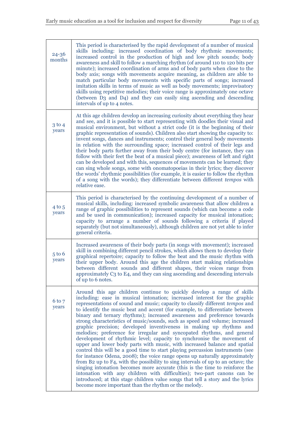| $24 - 36$<br>months | This period is characterised by the rapid development of a number of musical<br>skills including: increased coordination of body rhythmic movements;<br>increased control in the production of high and low pitch sounds; body<br>awareness and skill to follow a marching rhythm (of around 110 to 120 bits per<br>minute); increased coordination of arms and of body parts when close to the<br>body axis; songs with movements acquire meaning, as children are able to<br>match particular body movements with specific parts of songs; increased<br>imitation skills in terms of music as well as body movements; improvisatory<br>skills using repetitive melodies; their voice range is approximately one octave<br>(between D <sub>3</sub> and D <sub>4</sub> ) and they can easily sing ascending and descending<br>intervals of up to 4 notes.                                                                                                                                                                                                                                                                                                                                                                                                                                                                                              |
|---------------------|--------------------------------------------------------------------------------------------------------------------------------------------------------------------------------------------------------------------------------------------------------------------------------------------------------------------------------------------------------------------------------------------------------------------------------------------------------------------------------------------------------------------------------------------------------------------------------------------------------------------------------------------------------------------------------------------------------------------------------------------------------------------------------------------------------------------------------------------------------------------------------------------------------------------------------------------------------------------------------------------------------------------------------------------------------------------------------------------------------------------------------------------------------------------------------------------------------------------------------------------------------------------------------------------------------------------------------------------------------|
| $3$ to $4$<br>years | At this age children develop an increasing curiosity about everything they hear<br>and see, and it is possible to start representing with doodles their visual and<br>musical environment, but without a strict code (it is the beginning of their<br>graphic representation of sounds). Children also start showing the capacity to:<br>invent songs, dances and instruments; control their general body movements<br>in relation with the surrounding space; increased control of their legs and<br>their body parts further away from their body centre (for instance, they can<br>follow with their feet the beat of a musical piece); awareness of left and right<br>can be developed and with this, sequences of movements can be learned; they<br>can sing whole songs, some with onomatopoeias in their lyrics; they discover<br>the words' rhythmic possibilities (for example, it is easier to follow the rhythm<br>of a song with the words); they differentiate between different tempos with<br>relative ease.                                                                                                                                                                                                                                                                                                                            |
| $4$ to $5$<br>years | This period is characterised by the continuing development of a number of<br>musical skills, including: increased symbolic awareness that allow children a<br>range of graphic possibilities to represent sounds (which can become a code<br>and be used in communication); increased capacity for musical intonation;<br>capacity to arrange a number of sounds following a criteria if played<br>separately (but not simultaneously), although children are not yet able to infer<br>general criteria.                                                                                                                                                                                                                                                                                                                                                                                                                                                                                                                                                                                                                                                                                                                                                                                                                                               |
| $5$ to $6$<br>years | Increased awareness of their body parts (in songs with movement); increased<br>skill in combining different pencil strokes, which allows them to develop their<br>graphical repertoire; capacity to follow the beat and the music rhythm with<br>their upper body. Around this age the children start making relationships<br>between different sounds and different shapes, their voices range from<br>approximately C <sub>3</sub> to E <sub>4</sub> , and they can sing ascending and descending intervals<br>of up to 6 notes.                                                                                                                                                                                                                                                                                                                                                                                                                                                                                                                                                                                                                                                                                                                                                                                                                     |
| $6$ to $7$<br>years | Around this age children continue to quickly develop a range of skills<br>including: ease in musical intonation; increased interest for the graphic<br>representations of sound and music; capacity to classify different <i>tempos</i> and<br>to identify the music beat and accent (for example, to differentiate between<br>binary and ternary rhythms); increased awareness and preference towards<br>strong characteristics of music/sounds, such as speed and volume; increased<br>graphic precision; developed inventiveness in making up rhythms and<br>melodies; preference for irregular and syncopated rhythms, and general<br>development of rhythmic level; capacity to synchronise the movement of<br>upper and lower body parts with music, with increased balance and spatial<br>control this will be a good time to start playing percussion instruments (see<br>for instance Odena, 2008); the voice range opens up naturally approximately<br>from B2 up to F4, with the possibility to sing intervals of up to an octave; the<br>singing intonation becomes more accurate (this is the time to reinforce the<br>intonation with any children with difficulties); two-part canons can be<br>introduced; at this stage children value songs that tell a story and the lyrics<br>become more important than the rhythm or the melody. |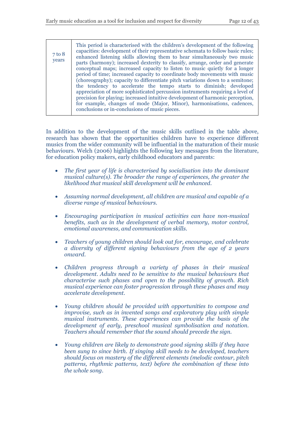| $7$ to $8$<br>years | This period is characterised with the children's development of the following<br>capacities: development of their representative schemata to follow basic rules;<br>enhanced listening skills allowing them to hear simultaneously two music<br>parts (harmony); increased dexterity to classify, arrange, order and generate<br>conceptual maps; increased capacity to listen to music quietly for a longer<br>period of time; increased capacity to coordinate body movements with music<br>(choreography); capacity to differentiate pitch variations down to a semitone;<br>the tendency to accelerate the tempo starts to diminish; developed<br>appreciation of more sophisticated percussion instruments requiring a level of<br>precision for playing; increased intuitive development of harmonic perception,<br>for example, changes of mode (Major, Minor), harmonisations, cadences, |
|---------------------|--------------------------------------------------------------------------------------------------------------------------------------------------------------------------------------------------------------------------------------------------------------------------------------------------------------------------------------------------------------------------------------------------------------------------------------------------------------------------------------------------------------------------------------------------------------------------------------------------------------------------------------------------------------------------------------------------------------------------------------------------------------------------------------------------------------------------------------------------------------------------------------------------|
|                     | conclusions or in-conclusions of music pieces.                                                                                                                                                                                                                                                                                                                                                                                                                                                                                                                                                                                                                                                                                                                                                                                                                                                   |

In addition to the development of the music skills outlined in the table above, research has shown that the opportunities children have to experience different musics from the wider community will be influential in the maturation of their music behaviours. Welch (2006) highlights the following key messages from the literature, for education policy makers, early childhood educators and parents:

- *The first year of life is characterised by socialisation into the dominant*  musical culture(s). The broader the range of experiences, the greater the *likelihood that musical skill development will be enhanced.*
- *Assuming normal development, all children are musical and capable of a diverse range of musical behaviours.*
- *Encouraging participation in musical activities can have non-musical benefits, such as in the development of verbal memory, motor control, emotional awareness, and communication skills.*
- *Teachers of young children should look out for, encourage, and celebrate a diversity of different signing behaviours from the age of 2 years onward.*
- *Children progress through a variety of phases in their musical development. Adults need to be sensitive to the musical behaviours that characterise such phases and open to the possibility of growth. Rich musical experience can foster progression through these phases and may accelerate development.*
- *Young children should be provided with opportunities to compose and improvise, such as in invented songs and exploratory play with simple musical instruments. These experiences can provide the basis of the development of early, preschool musical symbolisation and notation. Teachers should remember that the sound should precede the sign.*
- *Young children are likely to demonstrate good signing skills if they have been sung to since birth. If singing skill needs to be developed, teachers should focus on mastery of the different elements (melodic contour, pitch patterns, rhythmic patterns, text) before the combination of these into the whole song.*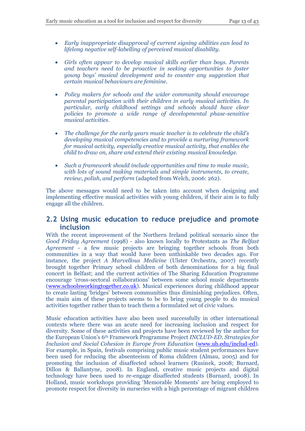- *Early inappropriate disapproval of current signing abilities can lead to lifelong negative self-labelling of perceived musical disability.*
- *Girls often appear to develop musical skills earlier than boys. Parents and teachers need to be proactive in seeking opportunities to foster young boys' musical development and to counter any suggestion that certain musical behaviours are feminine.*
- *Policy makers for schools and the wider community should encourage parental participation with their children in early musical activities. In particular, early childhood settings and schools should have clear policies to promote a wide range of developmental phase-sensitive musical activities.*
- *The challenge for the early years music teacher is to celebrate the child's developing musical competencies and to provide a nurturing framework for musical activity, especially creative musical activity, that enables the child to draw on, share and extend their existing musical knowledge.*
- *Such a framework should include opportunities and time to make music, with lots of sound making materials and simple instruments, to create, review, polish, and perform* (adapted from Welch, 2006: 262).

The above messages would need to be taken into account when designing and implementing effective musical activities with young children, if their aim is to fully engage all the children.

### **2.2 Using music education to reduce prejudice and promote inclusion**

With the recent improvement of the Northern Ireland political scenario since the *Good Friday Agreement* (1998) - also known locally to Protestants as *The Belfast Agreement* - a few music projects are bringing together schools from both communities in a way that would have been unthinkable two decades ago. For instance, the project *A Marvellous Medicine* (Ulster Orchestra, 2007) recently brought together Primary school children of both denominations for a big final concert in Belfast; and the current activities of The Sharing Education Programme encourage 'cross-sectoral collaborations' between some school music departments [\(www.schoolsworkingtogether.co.uk\)](http://www.schoolsworkingtogether.co.uk/). Musical experiences during childhood appear to create lasting 'bridges' between communities thus diminishing prejudices. Often, the main aim of these projects seems to be to bring young people to do musical activities together rather than to teach them a formulated set of civic values.

Music education activities have also been used successfully in other international contexts where there was an acute need for increasing inclusion and respect for diversity. Some of these activities and projects have been reviewed by the author for the European Union's 6th Framework Programme Project *INCLUD-ED. Strategies for Inclusion and Social Cohesion in Europe from Education* [\(www.ub.edu/includ-ed\)](http://www.ub.edu/includ-ed). For example, in Spain, festivals comprising public music student performances have been used for reducing the absenteeism of Roma children (Almau, 2005) and for promoting the inclusion of disaffected school learners (Rusinek, 2008; Burnard, Dillon & Ballantyne, 2008). In England, creative music projects and digital technology have been used to re-engage disaffected students (Burnard, 2008). In Holland, music workshops providing 'Memorable Moments' are being employed to promote respect for diversity in nurseries with a high percentage of migrant children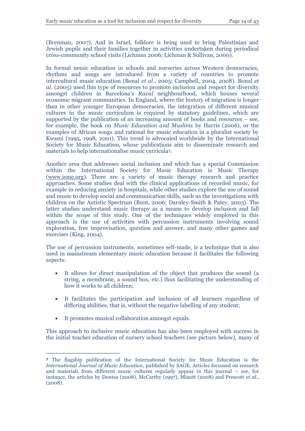(Brenman, 2007). And in Israel, folklore is being used to bring Palestinian and Jewish pupils and their families together in activities undertaken during periodical cross-community school visits (Lichman 2006; Lichman & Sullivan, 2000).

In formal music education in schools and nurseries across Western democracies, rhythms and songs are introduced from a variety of countries to promote intercultural music education (Bonal *et al*., 2005; Campbell, 2004, 2008). Bonal *et al.* (2005) used this type of resources to promote inclusion and respect for diversity amongst children in Barcelona's *Raval* neighbourhood, which houses several economic migrant communities. In England, where the history of migration is longer than in other younger European democracies, the integration of different musical cultures in the music curriculum is required by statutory guidelines, which are supported by the publication of an increasing amount of books and resources – see, for example, the book on *Music Education and Muslims* by Harris (2006), or the examples of African songs and rational for music education in a pluralist society by Kwami (1995, 1998, 2001). This trend is advocated worldwide by the International Society for Music Education, whose publications aim to disseminate research and materials to help internationalise music curricula<sup>3</sup> .

Another area that addresses social inclusion and which has a special Commission within the International Society for Music Education is Music Therapy [\(www.isme.org\)](http://www.isme.org/). There are a variety of music therapy research and practice approaches. Some studies deal with the clinical applications of recorded music, for example in reducing anxiety in hospitals, while other studies explore the use of sound and music to develop social and communication skills, such us the investigations with children on the Autistic Spectrum (Bunt, 2006; Darnley-Smith & Patey, 2003). The latter studies understand music therapy as a means to develop inclusion and fall within the scope of this study. One of the techniques widely employed in this approach is the use of activities with percussion instruments involving sound exploration, free improvisation, question and answer, and many other games and exercises (King, 2004).

The use of percussion instruments, sometimes self-made, is a technique that is also used in mainstream elementary music education because it facilitates the following aspects:

- It allows for direct manipulation of the object that produces the sound (a string, a membrane, a sound box, etc.) thus facilitating the understanding of how it works to all children;
- It facilitates the participation and inclusion of all learners regardless of differing abilities, that is, without the negative labelling of any student;
- It promotes musical collaboration amongst equals.

 $\overline{a}$ 

This approach to inclusive music education has also been employed with success in the initial teacher education of nursery school teachers (see picture below), many of

<sup>3</sup> The flagship publication of the International Society for Music Education is the *International Journal of Music Education*, published by SAGE. Articles focussed on research and materials from different music cultures regularly appear in this journal – see, for instance, the articles by Dontsa (2008), McCarthy (1997), Minott (2008) and Prescott *et al*., (2008).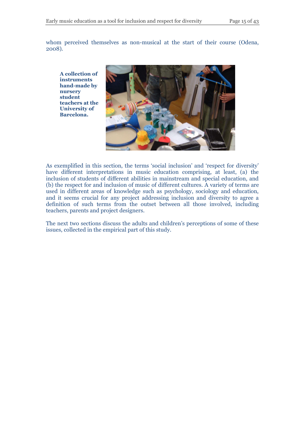whom perceived themselves as non-musical at the start of their course (Odena, 2008).

**A collection of instruments hand-made by nursery student teachers at the University of Barcelona.**



As exemplified in this section, the terms 'social inclusion' and 'respect for diversity' have different interpretations in music education comprising, at least, (a) the inclusion of students of different abilities in mainstream and special education, and (b) the respect for and inclusion of music of different cultures. A variety of terms are used in different areas of knowledge such as psychology, sociology and education, and it seems crucial for any project addressing inclusion and diversity to agree a definition of such terms from the outset between all those involved, including teachers, parents and project designers.

The next two sections discuss the adults and children's perceptions of some of these issues, collected in the empirical part of this study.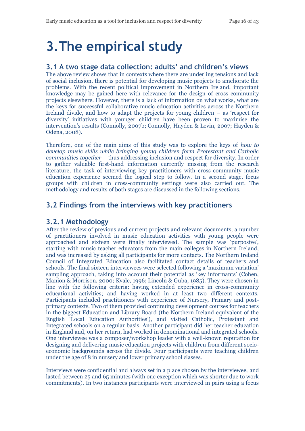# **3.The empirical study**

## **3.1 A two stage data collection: adults' and children's views**

The above review shows that in contexts where there are underling tensions and lack of social inclusion, there is potential for developing music projects to ameliorate the problems. With the recent political improvement in Northern Ireland, important knowledge may be gained here with relevance for the design of cross-community projects elsewhere. However, there is a lack of information on what works, what are the keys for successful collaborative music education activities across the Northern Ireland divide, and how to adapt the projects for young children – as 'respect for diversity' initiatives with younger children have been proven to maximise the intervention's results (Connolly, 2007b; Connolly, Hayden & Levin, 2007; Hayden & Odena, 2008).

Therefore, one of the main aims of this study was to explore the keys of *how to develop music skills while bringing young children form Protestant and Catholic communities together* – thus addressing inclusion and respect for diversity. In order to gather valuable first-hand information currently missing from the research literature, the task of interviewing key practitioners with cross-community music education experience seemed the logical step to follow. In a second stage, focus groups with children in cross-community settings were also carried out. The methodology and results of both stages are discussed in the following sections.

## **3.2 Findings from the interviews with key practitioners**

### **3.2.1 Methodology**

After the review of previous and current projects and relevant documents, a number of practitioners involved in music education activities with young people were approached and sixteen were finally interviewed. The sample was 'purposive', starting with music teacher educators from the main colleges in Northern Ireland, and was increased by asking all participants for more contacts. The Northern Ireland Council of Integrated Education also facilitated contact details of teachers and schools. The final sixteen interviewees were selected following a 'maximum variation' sampling approach, taking into account their potential as 'key informants' (Cohen, Manion & Morrison, 2000; Kvale, 1996; Lincoln & Guba, 1985). They were chosen in line with the following criteria: having extended experience in cross-community educational activities; and having worked in at least two different contexts. Participants included practitioners with experience of Nursery, Primary and postprimary contexts. Two of them provided continuing development courses for teachers in the biggest Education and Library Board (the Northern Ireland equivalent of the English 'Local Education Authorities'), and visited Catholic, Protestant and Integrated schools on a regular basis. Another participant did her teacher education in England and, on her return, had worked in denominational and integrated schools. One interviewee was a composer/workshop leader with a well-known reputation for designing and delivering music education projects with children from different socioeconomic backgrounds across the divide. Four participants were teaching children under the age of 8 in nursery and lower primary school classes.

Interviews were confidential and always set in a place chosen by the interviewee, and lasted between 25 and 65 minutes (with one exception which was shorter due to work commitments). In two instances participants were interviewed in pairs using a focus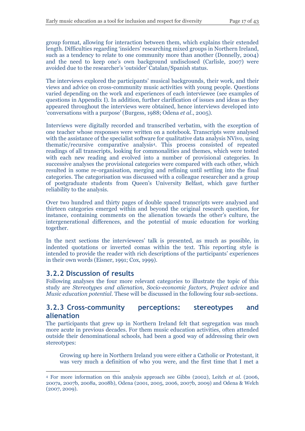group format, allowing for interaction between them, which explains their extended length. Difficulties regarding 'insiders' researching mixed groups in Northern Ireland, such as a tendency to relate to one community more than another (Donnelly, 2004) and the need to keep one's own background undisclosed (Carlisle, 2007) were avoided due to the researcher's 'outsider' Catalan/Spanish status.

The interviews explored the participants' musical backgrounds, their work, and their views and advice on cross-community music activities with young people. Questions varied depending on the work and experiences of each interviewee (see examples of questions in Appendix I). In addition, further clarification of issues and ideas as they appeared throughout the interviews were obtained, hence interviews developed into 'conversations with a purpose' (Burgess, 1988; Odena *et al*., 2005).

Interviews were digitally recorded and transcribed verbatim, with the exception of one teacher whose responses were written on a notebook. Transcripts were analysed with the assistance of the specialist software for qualitative data analysis NVivo, using thematic/recursive comparative analysis<sup>4</sup> . This process consisted of repeated readings of all transcripts, looking for commonalities and themes, which were tested with each new reading and evolved into a number of provisional categories. In successive analyses the provisional categories were compared with each other, which resulted in some re-organisation, merging and refining until settling into the final categories. The categorisation was discussed with a colleague researcher and a group of postgraduate students from Queen's University Belfast, which gave further reliability to the analysis.

Over two hundred and thirty pages of double spaced transcripts were analysed and thirteen categories emerged within and beyond the original research question, for instance, containing comments on the alienation towards the other's culture, the intergenerational differences, and the potential of music education for working together.

In the next sections the interviewees' talk is presented, as much as possible, in indented quotations or inverted comas within the text. This reporting style is intended to provide the reader with rich descriptions of the participants' experiences in their own words (Eisner, 1991; Cox, 1999).

### **3.2.2 Discussion of results**

 $\overline{a}$ 

Following analyses the four more relevant categories to illustrate the topic of this study are *Stereotypes and alienation*, *Socio-economic factors, Project advice* and *Music education potential.* These will be discussed in the following four sub-sections.

### **3.2.3 Cross-community perceptions: stereotypes and alienation**

The participants that grew up in Northern Ireland felt that segregation was much more acute in previous decades. For them music education activities, often attended outside their denominational schools, had been a good way of addressing their own stereotypes:

Growing up here in Northern Ireland you were either a Catholic or Protestant, it was very much a definition of who you were, and the first time that I met a

<sup>4</sup> For more information on this analysis approach see Gibbs (2002), Leitch *et al*. (2006, 2007a, 2007b, 2008a, 2008b), Odena (2001, 2005, 2006, 2007b, 2009) and Odena & Welch (2007, 2009).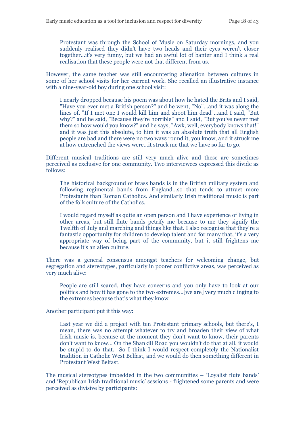Protestant was through the School of Music on Saturday mornings, and you suddenly realised they didn't have two heads and their eyes weren't closer together…it's very funny, but we had an awful lot of banter and I think a real realisation that these people were not that different from us.

However, the same teacher was still encountering alienation between cultures in some of her school visits for her current work. She recalled an illustrative instance with a nine-year-old boy during one school visit:

I nearly dropped because his poem was about how he hated the Brits and I said, "Have you ever met a British person?" and he went, "No"…and it was along the lines of, "If I met one I would kill him and shoot him dead"…and I said, "But why?" and he said, "Because they're horrible" and I said, "But you've never met them so how would you know?" and he says, "Awk, well, everybody knows that!" and it was just this absolute, to him it was an absolute truth that all English people are bad and there were no two ways round it, you know, and it struck me at how entrenched the views were…it struck me that we have so far to go.

Different musical traditions are still very much alive and these are sometimes perceived as exclusive for one community. Two interviewees expressed this divide as follows:

The historical background of brass bands is in the British military system and following regimental bands from England…so that tends to attract more Protestants than Roman Catholics. And similarly Irish traditional music is part of the folk culture of the Catholics.

I would regard myself as quite an open person and I have experience of living in other areas, but still flute bands petrify me because to me they signify the Twelfth of July and marching and things like that. I also recognise that they're a fantastic opportunity for children to develop talent and for many that, it's a very appropriate way of being part of the community, but it still frightens me because it's an alien culture.

There was a general consensus amongst teachers for welcoming change, but segregation and stereotypes, particularly in poorer conflictive areas, was perceived as very much alive:

People are still scared, they have concerns and you only have to look at our politics and how it has gone to the two extremes…[we are] very much clinging to the extremes because that's what they know

Another participant put it this way:

Last year we did a project with ten Protestant primary schools, but there's, I mean, there was no attempt whatever to try and broaden their view of what Irish music is, because at the moment they don't want to know, their parents don't want to know… On the Shankill Road you wouldn't do that at all, it would be stupid to do that. So I think I would respect completely the Nationalist tradition in Catholic West Belfast, and we would do then something different in Protestant West Belfast.

The musical stereotypes imbedded in the two communities – 'Loyalist flute bands' and 'Republican Irish traditional music' sessions - frightened some parents and were perceived as divisive by participants: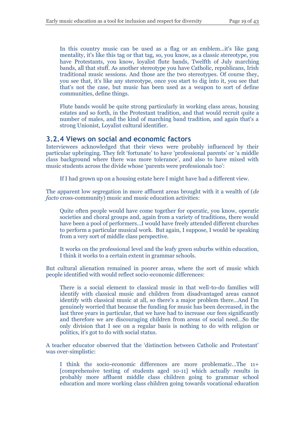In this country music can be used as a flag or an emblem…it's like gang mentality, it's like this tag or that tag, so, you know, as a classic stereotype, you have Protestants, you know, loyalist flute bands, Twelfth of July marching bands, all that stuff. As another stereotype you have Catholic, republicans, Irish traditional music sessions. And those are the two stereotypes. Of course they, you see that, it's like any stereotype, once you start to dig into it, you see that that's not the case, but music has been used as a weapon to sort of define communities, define things.

Flute bands would be quite strong particularly in working class areas, housing estates and so forth, in the Protestant tradition, and that would recruit quite a number of males, and the kind of marching band tradition, and again that's a strong Unionist, Loyalist cultural identifier.

#### **3.2.4 Views on social and economic factors**

Interviewees acknowledged that their views were probably influenced by their particular upbringing. They felt 'fortunate' to have 'professional parents' or 'a middle class background where there was more tolerance', and also to have mixed with music students across the divide whose 'parents were professionals too':

If I had grown up on a housing estate here I might have had a different view.

The apparent low segregation in more affluent areas brought with it a wealth of (*de facto* cross-community) music and music education activities:

Quite often people would have come together for operatic, you know, operatic societies and choral groups and, again from a variety of traditions, there would have been a pool of performers…I would have freely attended different churches to perform a particular musical work. But again, I suppose, I would be speaking from a very sort of middle class perspective.

It works on the professional level and the leafy green suburbs within education, I think it works to a certain extent in grammar schools.

But cultural alienation remained in poorer areas, where the sort of music which people identified with would reflect socio-economic differences:

There is a social element to classical music in that well-to-do families will identify with classical music and children from disadvantaged areas cannot identify with classical music at all, so there's a major problem there…And I'm genuinely worried that because the funding for music has been decreased, in the last three years in particular, that we have had to increase our fees significantly and therefore we are discouraging children from areas of social need…So the only division that I see on a regular basis is nothing to do with religion or politics, it's got to do with social status.

A teacher educator observed that the 'distinction between Catholic and Protestant' was over-simplistic:

I think the socio-economic differences are more problematic…The 11+ [comprehensive testing of students aged 10-11] which actually results in probably more affluent middle class children going to grammar school education and more working class children going towards vocational education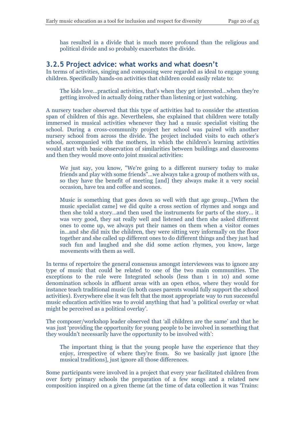has resulted in a divide that is much more profound than the religious and political divide and so probably exacerbates the divide.

#### **3.2.5 Project advice: what works and what doesn't**

In terms of activities, singing and composing were regarded as ideal to engage young children. Specifically hands-on activities that children could easily relate to:

The kids love…practical activities, that's when they get interested…when they're getting involved in actually doing rather than listening or just watching.

A nursery teacher observed that this type of activities had to consider the attention span of children of this age. Nevertheless, she explained that children were totally immersed in musical activities whenever they had a music specialist visiting the school. During a cross-community project her school was paired with another nursery school from across the divide. The project included visits to each other's school, accompanied with the mothers, in which the children's learning activities would start with basic observation of similarities between buildings and classrooms and then they would move onto joint musical activities:

We just say, you know, "We're going to a different nursery today to make friends and play with some friends"…we always take a group of mothers with us, so they have the benefit of meeting [and] they always make it a very social occasion, have tea and coffee and scones.

Music is something that goes down so well with that age group…[When the music specialist came] we did quite a cross section of rhymes and songs and then she told a story…and then used the instruments for parts of the story… it was very good, they sat really well and listened and then she asked different ones to come up, we always put their names on them when a visitor comes in…and she did mix the children, they were sitting very informally on the floor together and she called up different ones to do different things and they just had such fun and laughed and she did some action rhymes, you know, large movements with them as well.

In terms of repertoire the general consensus amongst interviewees was to ignore any type of music that could be related to one of the two main communities. The exceptions to the rule were Integrated schools (less than 1 in 10) and some denomination schools in affluent areas with an open ethos, where they would for instance teach traditional music (in both cases parents would fully support the school activities). Everywhere else it was felt that the most appropriate way to run successful music education activities was to avoid anything that had 'a political overlay or what might be perceived as a political overlay'.

The composer/workshop leader observed that 'all children are the same' and that he was just 'providing the opportunity for young people to be involved in something that they wouldn't necessarily have the opportunity to be involved with':

The important thing is that the young people have the experience that they enjoy, irrespective of where they're from. So we basically just ignore [the musical traditions], just ignore all those differences.

Some participants were involved in a project that every year facilitated children from over forty primary schools the preparation of a few songs and a related new composition inspired on a given theme (at the time of data collection it was 'Trains: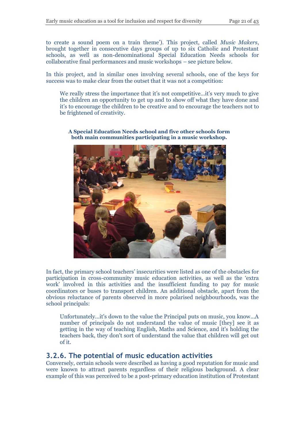to create a sound poem on a train theme'). This project, called *Music Makers*, brought together in consecutive days groups of up to six Catholic and Protestant schools, as well as non-denominational Special Education Needs schools for collaborative final performances and music workshops – see picture below.

In this project, and in similar ones involving several schools, one of the keys for success was to make clear from the outset that it was not a competition:

We really stress the importance that it's not competitive...it's very much to give the children an opportunity to get up and to show off what they have done and it's to encourage the children to be creative and to encourage the teachers not to be frightened of creativity.



**A Special Education Needs school and five other schools form both main communities participating in a music workshop.**

In fact, the primary school teachers' insecurities were listed as one of the obstacles for participation in cross-community music education activities, as well as the 'extra work' involved in this activities and the insufficient funding to pay for music coordinators or buses to transport children. An additional obstacle, apart from the obvious reluctance of parents observed in more polarised neighbourhoods, was the school principals:

Unfortunately…it's down to the value the Principal puts on music, you know…A number of principals do not understand the value of music [they] see it as getting in the way of teaching English, Maths and Science, and it's holding the teachers back, they don't sort of understand the value that children will get out of it.

### **3.2.6. The potential of music education activities**

Conversely, certain schools were described as having a good reputation for music and were known to attract parents regardless of their religious background. A clear example of this was perceived to be a post-primary education institution of Protestant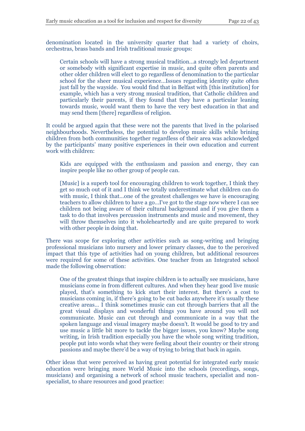denomination located in the university quarter that had a variety of choirs, orchestras, brass bands and Irish traditional music groups:

Certain schools will have a strong musical tradition…a strongly led department or somebody with significant expertise in music, and quite often parents and other older children will elect to go regardless of denomination to the particular school for the sheer musical experience…Issues regarding identity quite often just fall by the wayside. You would find that in Belfast with [this institution] for example, which has a very strong musical tradition, that Catholic children and particularly their parents, if they found that they have a particular leaning towards music, would want them to have the very best education in that and may send them [there] regardless of religion.

It could be argued again that these were not the parents that lived in the polarised neighbourhoods. Nevertheless, the potential to develop music skills while brining children from both communities together regardless of their area was acknowledged by the participants' many positive experiences in their own education and current work with children:

Kids are equipped with the enthusiasm and passion and energy, they can inspire people like no other group of people can.

[Music] is a superb tool for encouraging children to work together, I think they get so much out of it and I think we totally underestimate what children can do with music, I think that...one of the greatest challenges we have is encouraging teachers to allow children to have a go…I've got to the stage now where I can see children not being aware of their cultural background and if you give them a task to do that involves percussion instruments and music and movement, they will throw themselves into it wholeheartedly and are quite prepared to work with other people in doing that.

There was scope for exploring other activities such as song-writing and bringing professional musicians into nursery and lower primary classes, due to the perceived impact that this type of activities had on young children, but additional resources were required for some of these activities. One teacher from an Integrated school made the following observation:

One of the greatest things that inspire children is to actually see musicians, have musicians come in from different cultures. And when they hear good live music played, that's something to kick start their interest. But there's a cost to musicians coming in, if there's going to be cut backs anywhere it's usually these creative areas… I think sometimes music can cut through barriers that all the great visual displays and wonderful things you have around you will not communicate. Music can cut through and communicate in a way that the spoken language and visual imagery maybe doesn't. It would be good to try and use music a little bit more to tackle the bigger issues, you know? Maybe song writing, in Irish tradition especially you have the whole song writing tradition, people put into words what they were feeling about their country or their strong passions and maybe there'd be a way of trying to bring that back in again.

Other ideas that were perceived as having great potential for integrated early music education were bringing more World Music into the schools (recordings, songs, musicians) and organising a network of school music teachers, specialist and nonspecialist, to share resources and good practice: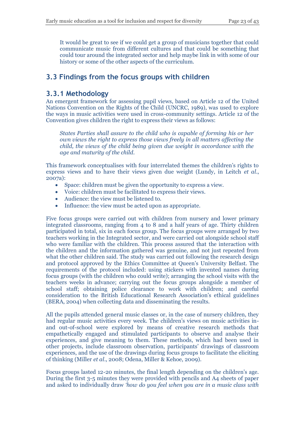It would be great to see if we could get a group of musicians together that could communicate music from different cultures and that could be something that could tour around the integrated sector and help maybe link in with some of our history or some of the other aspects of the curriculum.

## **3.3 Findings from the focus groups with children**

### **3.3.1 Methodology**

An emergent framework for assessing pupil views, based on Article 12 of the United Nations Convention on the Rights of the Child (UNCRC, 1989), was used to explore the ways in music activities were used in cross-community settings. Article 12 of the Convention gives children the right to express their views as follows:

*States Parties shall assure to the child who is capable of forming his or her own views the right to express those views freely in all matters affecting the child, the views of the child being given due weight in accordance with the age and maturity of the child.*

This framework conceptualises with four interrelated themes the children's rights to express views and to have their views given due weight (Lundy, in Leitch *et al*., 2007a):

- Space: children must be given the opportunity to express a view.
- Voice: children must be facilitated to express their views.
- Audience: the view must be listened to.
- Influence: the view must be acted upon as appropriate.

Five focus groups were carried out with children from nursery and lower primary integrated classrooms, ranging from 4 to 8 and a half years of age. Thirty children participated in total, six in each focus group. The focus groups were arranged by two teachers working in the Integrated sector, and were carried out alongside school staff who were familiar with the children. This process assured that the interaction with the children and the information gathered was genuine, and not just repeated from what the other children said. The study was carried out following the research design and protocol approved by the Ethics Committee at Queen's University Belfast. The requirements of the protocol included: using stickers with invented names during focus groups (with the children who could write); arranging the school visits with the teachers weeks in advance; carrying out the focus groups alongside a member of school staff; obtaining police clearance to work with children; and careful consideration to the British Educational Research Association's ethical guidelines (BERA, 2004) when collecting data and disseminating the results.

All the pupils attended general music classes or, in the case of nursery children, they had regular music activities every week. The children's views on music activities inand out-of-school were explored by means of creative research methods that empathetically engaged and stimulated participants to observe and analyse their experiences, and give meaning to them. These methods, which had been used in other projects, include classroom observation, participants' drawings of classroom experiences, and the use of the drawings during focus groups to facilitate the eliciting of thinking (Miller *et al*., 2008; Odena, Miller & Kehoe, 2009).

Focus groups lasted 12-20 minutes, the final length depending on the children's age. During the first 3-5 minutes they were provided with pencils and A4 sheets of paper and asked to individually draw *'how do you feel when you are in a music class with*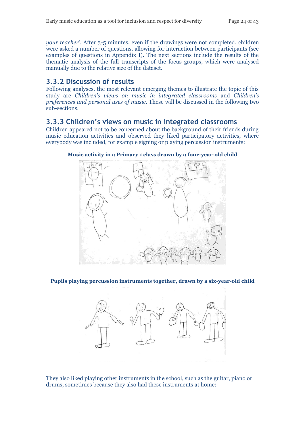*your teacher'*. After 3-5 minutes, even if the drawings were not completed, children were asked a number of questions, allowing for interaction between participants (see examples of questions in Appendix I). The next sections include the results of the thematic analysis of the full transcripts of the focus groups, which were analysed manually due to the relative size of the dataset.

## **3.3.2 Discussion of results**

Following analyses, the most relevant emerging themes to illustrate the topic of this study are *Children's views on music in integrated classrooms* and *Children's preferences and personal uses of music.* These will be discussed in the following two sub-sections.

### **3.3.3 Children's views on music in integrated classrooms**

Children appeared not to be concerned about the background of their friends during music education activities and observed they liked participatory activities, where everybody was included, for example signing or playing percussion instruments:



#### **Music activity in a Primary 1 class drawn by a four-year-old child**

**Pupils playing percussion instruments together, drawn by a six-year-old child**



They also liked playing other instruments in the school, such as the guitar, piano or drums, sometimes because they also had these instruments at home: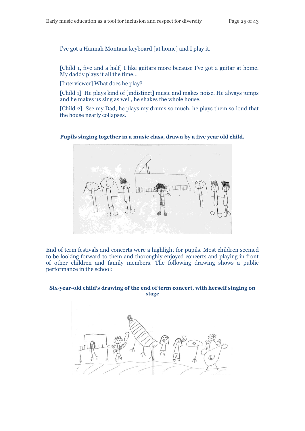I've got a Hannah Montana keyboard [at home] and I play it.

[Child 1, five and a half] I like guitars more because I've got a guitar at home. My daddy plays it all the time…

[Interviewer] What does he play?

[Child 1] He plays kind of [indistinct] music and makes noise. He always jumps and he makes us sing as well, he shakes the whole house.

[Child 2] See my Dad, he plays my drums so much, he plays them so loud that the house nearly collapses.

#### **Pupils singing together in a music class, drawn by a five year old child.**



End of term festivals and concerts were a highlight for pupils. Most children seemed to be looking forward to them and thoroughly enjoyed concerts and playing in front of other children and family members. The following drawing shows a public performance in the school:

#### **Six-year-old child's drawing of the end of term concert, with herself singing on stage**

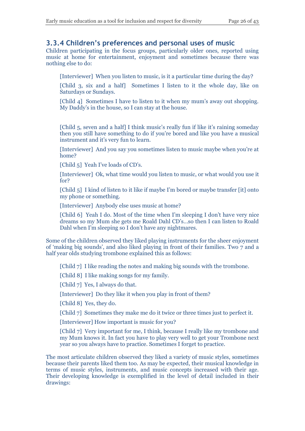#### **3.3.4 Children's preferences and personal uses of music**

Children participating in the focus groups, particularly older ones, reported using music at home for entertainment, enjoyment and sometimes because there was nothing else to do:

[Interviewer] When you listen to music, is it a particular time during the day?

[Child 3, six and a half] Sometimes I listen to it the whole day, like on Saturdays or Sundays.

[Child 4] Sometimes I have to listen to it when my mum's away out shopping. My Daddy's in the house, so I can stay at the house.

[Child 5, seven and a half] I think music's really fun if like it's raining someday then you still have something to do if you're bored and like you have a musical instrument and it's very fun to learn.

[Interviewer] And you say you sometimes listen to music maybe when you're at home?

[Child 5] Yeah I've loads of CD's.

[Interviewer] Ok, what time would you listen to music, or what would you use it for?

[Child 5] I kind of listen to it like if maybe I'm bored or maybe transfer [it] onto my phone or something.

[Interviewer] Anybody else uses music at home?

[Child 6] Yeah I do. Most of the time when I'm sleeping I don't have very nice dreams so my Mum she gets me Roald Dahl CD's…so then I can listen to Roald Dahl when I'm sleeping so I don't have any nightmares.

Some of the children observed they liked playing instruments for the sheer enjoyment of 'making big sounds', and also liked playing in front of their families. Two 7 and a half year olds studying trombone explained this as follows:

[Child 7] I like reading the notes and making big sounds with the trombone.

[Child 8] I like making songs for my family.

[Child 7] Yes, I always do that.

[Interviewer] Do they like it when you play in front of them?

[Child 8] Yes, they do.

[Child 7] Sometimes they make me do it twice or three times just to perfect it.

[Interviewer] How important is music for you?

[Child 7] Very important for me, I think, because I really like my trombone and my Mum knows it. In fact you have to play very well to get your Trombone next year so you always have to practice. Sometimes I forget to practice.

The most articulate children observed they liked a variety of music styles, sometimes because their parents liked them too. As may be expected, their musical knowledge in terms of music styles, instruments, and music concepts increased with their age. Their developing knowledge is exemplified in the level of detail included in their drawings: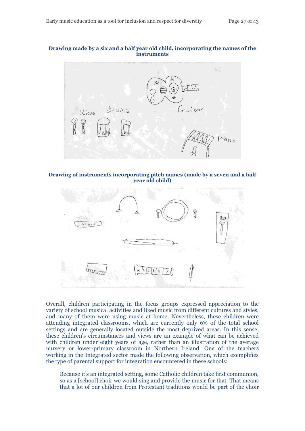#### **Drawing made by a six and a half year old child, incorporating the names of the instruments**



**Drawing of instruments incorporating pitch names (made by a seven and a half year old child)**



Overall, children participating in the focus groups expressed appreciation to the variety of school musical activities and liked music from different cultures and styles, and many of them were using music at home. Nevertheless, these children were attending integrated classrooms, which are currently only 6% of the total school settings and are generally located outside the most deprived areas. In this sense, these children's circumstances and views are an example of what can be achieved with children under eight years of age, rather than an illustration of the average nursery or lower-primary classroom in Northern Ireland. One of the teachers working in the Integrated sector made the following observation, which exemplifies the type of parental support for integration encountered in these schools:

Because it's an integrated setting, some Catholic children take first communion, so as a [school] choir we would sing and provide the music for that. That means that a lot of our children from Protestant traditions would be part of the choir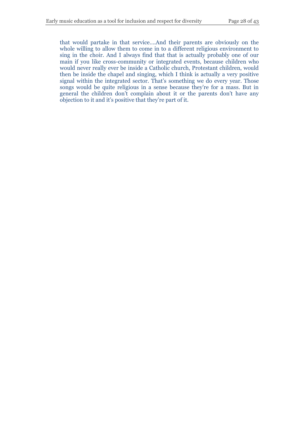that would partake in that service….And their parents are obviously on the whole willing to allow them to come in to a different religious environment to sing in the choir. And I always find that that is actually probably one of our main if you like cross-community or integrated events, because children who would never really ever be inside a Catholic church, Protestant children, would then be inside the chapel and singing, which I think is actually a very positive signal within the integrated sector. That's something we do every year. Those songs would be quite religious in a sense because they're for a mass. But in general the children don't complain about it or the parents don't have any objection to it and it's positive that they're part of it.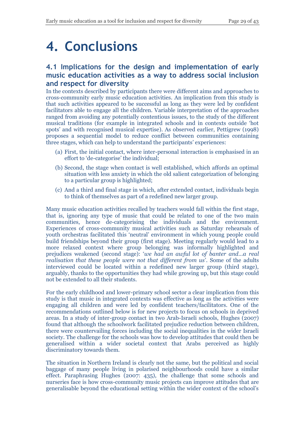# **4. Conclusions**

## **4.1 Implications for the design and implementation of early music education activities as a way to address social inclusion and respect for diversity**

In the contexts described by participants there were different aims and approaches to cross-community early music education activities. An implication from this study is that such activities appeared to be successful as long as they were led by confident facilitators able to engage all the children. Variable interpretation of the approaches ranged from avoiding any potentially contentious issues, to the study of the different musical traditions (for example in integrated schools and in contexts outside 'hot spots' and with recognised musical expertise). As observed earlier, Pettigrew (1998) proposes a sequential model to reduce conflict between communities containing three stages, which can help to understand the participants' experiences:

- (a) First, the initial contact, where inter-personal interaction is emphasised in an effort to 'de-categorise' the individual;
- (b) Second, the stage when contact is well established, which affords an optimal situation with less anxiety in which the old salient categorization of belonging to a particular group is highlighted;
- (c) And a third and final stage in which, after extended contact, individuals begin to think of themselves as part of a redefined new larger group.

Many music education activities recalled by teachers would fall within the first stage, that is, ignoring any type of music that could be related to one of the two main communities, hence de-categorising the individuals and the environment. Experiences of cross-community musical activities such as Saturday rehearsals of youth orchestras facilitated this 'neutral' environment in which young people could build friendships beyond their group (first stage). Meeting regularly would lead to a more relaxed context where group belonging was informally highlighted and prejudices weakened (second stage): '*we had an awful lot of banter and…a real realisation that these people were not that different from us*'. Some of the adults interviewed could be located within a redefined new larger group (third stage), arguably, thanks to the opportunities they had while growing up, but this stage could not be extended to all their students.

For the early childhood and lower-primary school sector a clear implication from this study is that music in integrated contexts was effective as long as the activities were engaging all children and were led by confident teachers/facilitators. One of the recommendations outlined below is for new projects to focus on schools in deprived areas. In a study of inter-group contact in two Arab-Israeli schools, Hughes (2007) found that although the schoolwork facilitated prejudice reduction between children, there were countervailing forces including the social inequalities in the wider Israeli society. The challenge for the schools was how to develop attitudes that could then be generalised within a wider societal context that Arabs perceived as highly discriminatory towards them.

The situation in Northern Ireland is clearly not the same, but the political and social baggage of many people living in polarised neighbourhoods could have a similar effect. Paraphrasing Hughes (2007: 435), the challenge that some schools and nurseries face is how cross-community music projects can improve attitudes that are generalisable beyond the educational setting within the wider context of the school's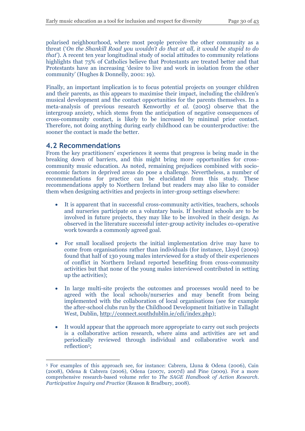polarised neighbourhood, where most people perceive the other community as a threat ('*On the Shankill Road you wouldn't do that at all, it would be stupid to do that*'). A recent ten year longitudinal study of social attitudes to community relations highlights that 73% of Catholics believe that Protestants are treated better and that Protestants have an increasing 'desire to live and work in isolation from the other community' (Hughes & Donnelly, 2001: 19).

Finally, an important implication is to focus potential projects on younger children and their parents, as this appears to maximise their impact, including the children's musical development and the contact opportunities for the parents themselves. In a meta-analysis of previous research Kenworthy *et al.* (2005) observe that the intergroup anxiety, which stems from the anticipation of negative consequences of cross-community contact, is likely to be increased by minimal prior contact. Therefore, not doing anything during early childhood can be counterproductive: the sooner the contact is made the better.

### **4.2 Recommendations**

From the key practitioners' experiences it seems that progress is being made in the breaking down of barriers, and this might bring more opportunities for crosscommunity music education. As noted, remaining prejudices combined with socioeconomic factors in deprived areas do pose a challenge. Nevertheless, a number of recommendations for practice can be elucidated from this study. These recommendations apply to Northern Ireland but readers may also like to consider them when designing activities and projects in inter-group settings elsewhere:

- It is apparent that in successful cross-community activities, teachers, schools and nurseries participate on a voluntary basis. If hesitant schools are to be involved in future projects, they may like to be involved in their design. As observed in the literature successful inter-group activity includes co-operative work towards a commonly agreed goal.
- For small localised projects the initial implementation drive may have to come from organisations rather than individuals (for instance, Lloyd (2009) found that half of 130 young males interviewed for a study of their experiences of conflict in Northern Ireland reported benefiting from cross-community activities but that none of the young males interviewed contributed in setting up the activities);
- In large multi-site projects the outcomes and processes would need to be agreed with the local schools/nurseries and may benefit from being implemented with the collaboration of local organisations (see for example the after-school clubs run by the Childhood Development Initiative in Tallaght West, Dublin, [http://connect.southdublin.ie/cdi/index.php\)](http://connect.southdublin.ie/cdi/index.php);
- It would appear that the approach more appropriate to carry out such projects is a collaborative action research, where aims and activities are set and periodically reviewed through individual and collaborative work and reflection<sup>5</sup>;

 $\overline{a}$ <sup>5</sup> For examples of this approach see, for instance: Cabrera, Lluna & Odena (2006), Cain (2008), Odena & Cabrera (2006), Odena (2007c, 2007d) and Pine (2009). For a more comprehensive research-based volume refer to *The SAGE Handbook of Action Research. Participative Inquiry and Practice* (Reason & Bradbury, 2008).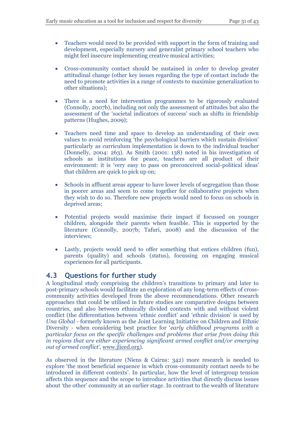- Teachers would need to be provided with support in the form of training and development, especially nursery and generalist primary school teachers who might feel insecure implementing creative musical activities;
- Cross-community contact should be sustained in order to develop greater attitudinal change (other key issues regarding the type of contact include the need to promote activities in a range of contexts to maximise generalization to other situations);
- There is a need for intervention programmes to be rigorously evaluated (Connolly, 2007b), including not only the assessment of attitudes but also the assessment of the 'societal indicators of success' such as shifts in friendship patterns (Hughes, 2009);
- Teachers need time and space to develop an understanding of their own values to avoid reinforcing 'the psychological barriers which sustain division' particularly as curriculum implementation is down to the individual teacher (Donnelly, 2004: 263). As Smith (2001: 138) noted in his investigation of schools as institutions for peace, teachers are all product of their environment: it is 'very easy to pass on preconceived social-political ideas' that children are quick to pick up on;
- Schools in affluent areas appear to have lower levels of segregation than those in poorer areas and seem to come together for collaborative projects when they wish to do so. Therefore new projects would need to focus on schools in deprived areas;
- Potential projects would maximise their impact if focussed on younger children, alongside their parents when feasible. This is supported by the literature (Connolly, 2007b; Tafuri, 2008) and the discussion of the interviews;
- Lastly, projects would need to offer something that entices children (fun), parents (quality) and schools (status), focussing on engaging musical experiences for all participants.

### **4.3 Questions for further study**

A longitudinal study comprising the children's transitions to primary and later to post-primary schools would facilitate an exploration of any long-term effects of crosscommunity activities developed from the above recommendations. Other research approaches that could be utilised in future studies are comparative designs between countries, and also between ethnically divided contexts with and without violent conflict (the differentiation between 'ethnic conflict' and 'ethnic division' is used by *Una Global* - formerly known as the Joint Learning Initiative on Children and Ethnic Diversity - when considering best practice for '*early childhood programs with a particular focus on the specific challenges and problems that arise from doing this in regions that are either experiencing significant armed conflict and/or emerging out of armed conflict'*, [www.jliced.org\)](http://www.jliced.org/).

As observed in the literature (Niens & Cairns: 342) more research is needed to explore 'the most beneficial sequence in which cross-community contact needs to be introduced in different contexts'. In particular, how the level of intergroup tension affects this sequence and the scope to introduce activities that directly discuss issues about 'the other' community at an earlier stage. In contrast to the wealth of literature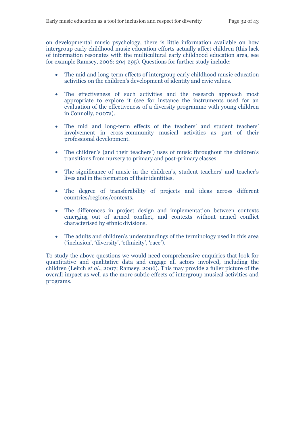on developmental music psychology, there is little information available on how intergroup early childhood music education efforts actually affect children (this lack of information resonates with the multicultural early childhood education area, see for example Ramsey, 2006: 294-295). Questions for further study include:

- The mid and long-term effects of intergroup early childhood music education activities on the children's development of identity and civic values.
- The effectiveness of such activities and the research approach most appropriate to explore it (see for instance the instruments used for an evaluation of the effectiveness of a diversity programme with young children in Connolly, 2007a).
- The mid and long-term effects of the teachers' and student teachers' involvement in cross-community musical activities as part of their professional development.
- The children's (and their teachers') uses of music throughout the children's transitions from nursery to primary and post-primary classes.
- The significance of music in the children's, student teachers' and teacher's lives and in the formation of their identities.
- The degree of transferability of projects and ideas across different countries/regions/contexts.
- The differences in project design and implementation between contexts emerging out of armed conflict, and contexts without armed conflict characterised by ethnic divisions.
- The adults and children's understandings of the terminology used in this area ('inclusion', 'diversity', 'ethnicity', 'race').

To study the above questions we would need comprehensive enquiries that look for quantitative and qualitative data and engage all actors involved, including the children (Leitch *et al*., 2007; Ramsey, 2006). This may provide a fuller picture of the overall impact as well as the more subtle effects of intergroup musical activities and programs.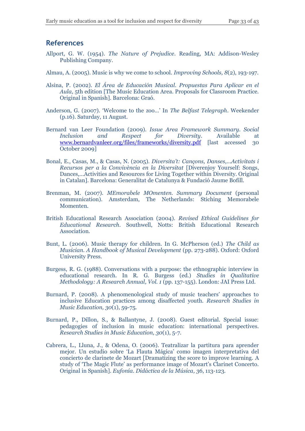### **References**

- Allport, G. W. (1954). *The Nature of Prejudice*. Reading, MA: Addison-Wesley Publishing Company.
- Almau, A. (2005). Music is why we come to school. *Improving Schools, 8*(2), 193-197.
- Alsina, P. (2002). *El Área de Educación Musical. Propuestas Para Aplicar en el Aula,* 5th edition [The Music Education Area. Proposals for Classroom Practice. Original in Spanish]. Barcelona: Graó.
- Anderson, G. (2007). 'Welcome to the zoo…' In *The Belfast Telegraph*. Weekender (p.16). Saturday, 11 August.
- Bernard van Leer Foundation (2009). *Issue Area Framework Summary. Social Inclusion and Respect for Diversity*. Available at [www.bernardvanleer.org/files/frameworks/diversity.pdf](http://www.bernardvanleer.org/files/frameworks/diversity.pdf) [last accessed 30] October 2009]
- Bonal, E., Casas, M., & Casas, N. (2005). *Diversita't: Cançons, Danses,...Activitats i Recursos per a la Convivència en la Diversitat* [Diverenjoy Yourself: Songs, Dances,…Activities and Resources for Living Together within Diversity. Original in Catalan]. Barcelona: Generalitat de Catalunya & Fundació Jaume Bofill.
- Brenman, M. (2007). *MEmorabele MOmenten. Summary Document* (personal communication). Amsterdam, The Netherlands: Stiching Memorabele Momenten.
- British Educational Research Association (2004). *Revised Ethical Guidelines for Educational Research*. Southwell, Notts: British Educational Research Association.
- Bunt, L. (2006). Music therapy for children. In G. McPherson (ed.) *The Child as Musician. A Handbook of Musical Development* (pp. 273-288). Oxford: Oxford University Press.
- Burgess, R. G. (1988). Conversations with a purpose: the ethnographic interview in educational research. In R. G. Burgess (ed.) *Studies in Qualitative Methodology: A Research Annual, Vol. 1* (pp. 137-155). London: JAI Press Ltd.
- Burnard, P. (2008). A phenomenological study of music teachers' approaches to inclusive Education practices among disaffected youth. *Research Studies in Music Education, 30*(1), 59-75.
- Burnard, P., Dillon, S., & Ballantyne, J. (2008). Guest editorial. Special issue: pedagogies of inclusion in music education: international perspectives. *Research Studies in Music Education, 30*(1), 5-7.
- Cabrera, L., Lluna, J., & Odena, O. (2006). Teatralizar la partitura para aprender mejor. Un estudio sobre 'La Flauta Mágica' como imagen interpretativa del concierto de clarinete de Mozart [Dramatizing the score to improve learning. A study of 'The Magic Flute' as performance image of Mozart's Clarinet Concerto. Original in Spanish]. *Eufonía. Didáctica de la Música, 36*, 113-123.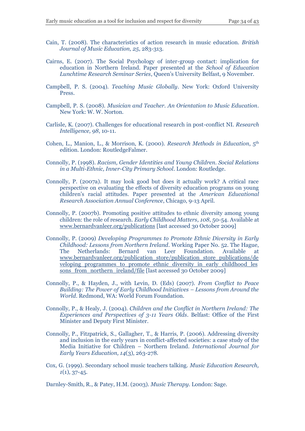- Cain, T. (2008). The characteristics of action research in music education. *British Journal of Music Education, 25*, 283-313.
- Cairns, E. (2007). The Social Psychology of inter-group contact: implication for education in Northern Ireland. Paper presented at the *School of Education Lunchtime Research Seminar Series*, Queen's University Belfast, 9 November.
- Campbell, P. S. (2004). *Teaching Music Globally*. New York: Oxford University Press.
- Campbell, P. S. (2008). *Musician and Teacher. An Orientation to Music Education*. New York: W. W. Norton.
- Carlisle, K. (2007). Challenges for educational research in post-conflict NI. *Research Intelligence, 98*, 10-11.
- Cohen, L., Manion, L., & Morrison, K. (2000). *Research Methods in Education*, 5th edition. London: RoutledgeFalmer.
- Connolly, P. (1998). *Racism, Gender Identities and Young Children. Social Relations in a Multi-Ethnic, Inner-City Primary School*. London: Routledge.
- Connolly, P. (2007a). It may look good but does it actually work? A critical race perspective on evaluating the effects of diversity education programs on young children's racial attitudes. Paper presented at the *American Educational Research Association Annual Conference*, Chicago, 9-13 April.
- Connolly, P. (2007b). Promoting positive attitudes to ethnic diversity among young children: the role of research. *Early Childhood Matters, 108*, 50-54. Available at [www.bernardvanleer.org/publications](http://www.bernardvanleer.org/publications) [last accessed 30 October 2009]
- Connolly, P. (2009) *Developing Programmes to Promote Ethnic Diversity in Early Childhood: Lessons from Northern Ireland*. Working Paper No. 52. The Hague, The Netherlands: Bernard van Leer Foundation. Available at [www.bernardvanleer.org/publication\\_store/publication\\_store\\_publications/de](http://www.bernardvanleer.org/publication_store/publication_store_publications/developing_programmes_to_promote_ethnic_diversity_in_early_childhood_lessons_from_northern_ireland/file) [veloping\\_programmes\\_to\\_promote\\_ethnic\\_diversity\\_in\\_early\\_childhood\\_les](http://www.bernardvanleer.org/publication_store/publication_store_publications/developing_programmes_to_promote_ethnic_diversity_in_early_childhood_lessons_from_northern_ireland/file) [sons\\_from\\_northern\\_ireland/file](http://www.bernardvanleer.org/publication_store/publication_store_publications/developing_programmes_to_promote_ethnic_diversity_in_early_childhood_lessons_from_northern_ireland/file) [last accessed 30 October 2009]
- Connolly, P., & Hayden, J., with Levin, D. (Eds) (2007). *From Conflict to Peace Building: The Power of Early Childhood Initiatives – Lessons from Around the World*. Redmond, WA: World Forum Foundation.
- Connolly, P., & Healy, J. (2004). *Children and the Conflict in Northern Ireland: The Experiences and Perspectives of 3-11 Years Olds*. Belfast: Office of the First Minister and Deputy First Minister.
- Connolly, P., Fitzpatrick, S., Gallagher, T., & Harris, P. (2006). Addressing diversity and inclusion in the early years in conflict-affected societies: a case study of the Media Initiative for Children – Northern Ireland. *International Journal for Early Years Education, 14*(3), 263-278.
- Cox, G. (1999). Secondary school music teachers talking. *Music Education Research, 1*(1), 37-45.

Darnley-Smith, R., & Patey, H.M. (2003). *Music Therapy*. London: Sage.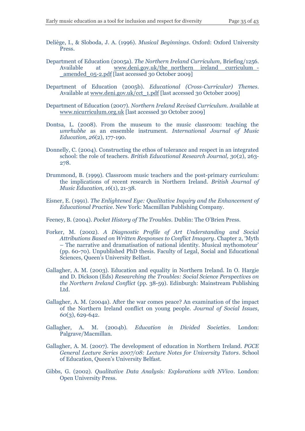- Deliège, I., & Sloboda, J. A. (1996). *Musical Beginnings*. Oxford: Oxford University Press.
- Department of Education (2005a). *The Northern Ireland Curriculum*, Briefing/1256. Available at www.deni.gov.uk/the\_northern ireland curriculum -[\\_amended\\_05-2.pdf](http://www.deni.gov.uk/the_northern__ireland__curriculum_-_amended_05-2.pdf) [last accessed 30 October 2009]
- Department of Education (2005b). *Educational (Cross-Curricular) Themes*. Available at [www.deni.gov.uk/cct\\_1.pdf](http://www.deni.gov.uk/cct_1.pdf) [last accessed 30 October 2009]
- Department of Education (2007). *Northern Ireland Revised Curriculum*. Available at [www.nicurriculum.org.uk](http://www.nicurriculum.org.uk/) [last accessed 30 October 2009]
- Dontsa, L. (2008). From the museum to the music classroom: teaching the *umrhubhe* as an ensemble instrument. *International Journal of Music Education, 26*(2), 177-190.
- Donnelly, C. (2004). Constructing the ethos of tolerance and respect in an integrated school: the role of teachers. *British Educational Research Journal, 30*(2), 263- 278.
- Drummond, B. (1999). Classroom music teachers and the post-primary curriculum: the implications of recent research in Northern Ireland. *British Journal of Music Education, 16*(1), 21-38.
- Eisner, E. (1991). *The Enlightened Eye: Qualitative Inquiry and the Enhancement of Educational Practice*. New York: Macmillan Publishing Company.
- Feeney, B. (2004). *Pocket History of The Troubles.* Dublin: The O'Brien Press.
- Forker, M. (2002). *A Diagnostic Profile of Art Understanding and Social Attributions Based on Written Responses to Conflict Imagery*. Chapter 2, 'Myth – The narrative and dramatisation of national identity. Musical mythomoteur' (pp. 60-70). Unpublished PhD thesis. Faculty of Legal, Social and Educational Sciences, Queen's University Belfast.
- Gallagher, A. M. (2003). Education and equality in Northern Ireland. In O. Hargie and D. Dickson (Eds) *Researching the Troubles: Social Science Perspectives on the Northern Ireland Conflict* (pp. 38-59). Edinburgh: Mainstream Publishing Ltd.
- Gallagher, A. M. (2004a). After the war comes peace? An examination of the impact of the Northern Ireland conflict on young people. *Journal of Social Issues, 60*(3), 629-642.
- Gallagher, A. M. (2004b). *Education in Divided Societies*. London: Palgrave/Macmillan.
- Gallagher, A. M. (2007). The development of education in Northern Ireland. *PGCE General Lecture Series 2007/08: Lecture Notes for University Tutors*. School of Education, Queen's University Belfast.
- Gibbs, G. (2002). *Qualitative Data Analysis: Explorations with NVivo*. London: Open University Press.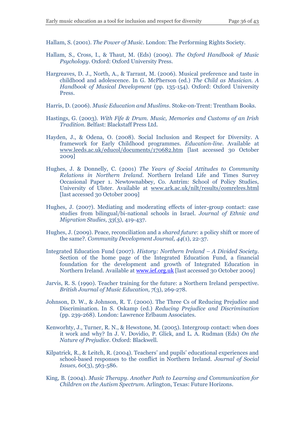Hallam, S. (2001). *The Power of Music*. London: The Performing Rights Society.

- Hallam, S., Cross, I., & Thaut, M. (Eds) (2009). *The Oxford Handbook of Music Psychology*. Oxford: Oxford University Press.
- Hargreaves, D. J., North, A., & Tarrant, M. (2006). Musical preference and taste in childhood and adolescence. In G. McPherson (ed.) *The Child as Musician. A Handbook of Musical Development* (pp. 135-154). Oxford: Oxford University Press.
- Harris, D. (2006). *Music Education and Muslims*. Stoke-on-Trent: Trentham Books.
- Hastings, G. (2003). *With Fife & Drum. Music, Memories and Customs of an Irish Tradition.* Belfast: Blackstaff Press Ltd.
- Hayden, J., & Odena, O. (2008). Social Inclusion and Respect for Diversity. A framework for Early Childhood programmes. *Education-line*. Available at [www.leeds.ac.uk/educol/documents/170682.htm](http://www.leeds.ac.uk/educol/documents/170682.htm) [last accessed 30 October 2009]
- Hughes, J. & Donnelly, C. (2001) *The Years of Social Attitudes to Community Relations in Northern Ireland.* Northern Ireland Life and Times Survey Occasional Paper 1. Newtownabbey, Co. Antrim: School of Policy Studies, University of Ulster. Available at [www.ark.ac.uk/nilt/results/comrelres.html](http://www.ark.ac.uk/nilt/results/comrelres.html) [last accessed 30 October 2009]
- Hughes, J. (2007). Mediating and moderating effects of inter-group contact: case studies from bilingual/bi-national schools in Israel. *Journal of Ethnic and Migration Studies, 33*(3), 419-437.
- Hughes, J. (2009). Peace, reconciliation and a *shared future*: a policy shift or more of the same?. *Community Development Journal, 44*(1), 22-37.
- Integrated Education Fund (2007). *History: Northern Ireland – A Divided Society*. Section of the home page of the Integrated Education Fund, a financial foundation for the development and growth of Integrated Education in Northern Ireland. Available a[t www.ief.org.uk](http://www.ief.org.uk/) [last accessed 30 October 2009]
- Jarvis, R. S. (1990). Teacher training for the future: a Northern Ireland perspective. *British Journal of Music Education, 7*(3), 269-278.
- Johnson, D. W., & Johnson, R. T. (2000). The Three Cs of Reducing Prejudice and Discrimination. In S. Oskamp (ed.) *Reducing Prejudice and Discrimination* (pp. 239-268). London: Lawrence Erlbaum Associates.
- Kenworhty, J., Turner, R. N., & Hewstone, M. (2005). Intergroup contact: when does it work and why? In J. V. Dovidio, P. Glick, and L. A. Rudman (Eds) *On the Nature of Prejudice.* Oxford: Blackwell.
- Kilpatrick, R., & Leitch, R. (2004). Teachers' and pupils' educational experiences and school-based responses to the conflict in Northern Ireland. *Journal of Social Issues, 60*(3), 563-586.
- King, B. (2004). *Music Therapy. Another Path to Learning and Communication for Children on the Autism Spectrum*. Arlington, Texas: Future Horizons.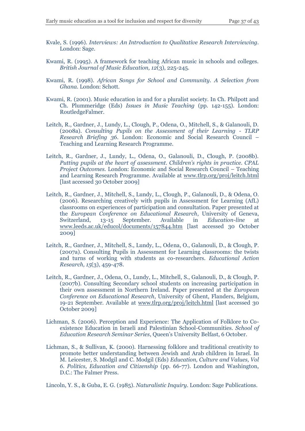- Kvale, S. (1996). *Interviews: An Introduction to Qualitative Research Interviewing.* London: Sage.
- Kwami, R. (1995). A framework for teaching African music in schools and colleges. *British Journal of Music Education, 12*(3), 225-245.
- Kwami, R. (1998). *African Songs for School and Community. A Selection from Ghana.* London: Schott.
- Kwami, R. (2001). Music education in and for a pluralist society. In Ch. Philpott and Ch. Plummeridge (Eds) *Issues in Music Teaching* (pp. 142-155). London: RoutledgeFalmer.
- Leitch, R., Gardner, J., Lundy, L., Clough, P., Odena, O., Mitchell, S., & Galanouli, D. (2008a). *Consulting Pupils on the Assessment of their Learning - TLRP Research Briefing 36*. London: Economic and Social Research Council – Teaching and Learning Research Programme.
- Leitch, R., Gardner, J., Lundy, L., Odena, O., Galanouli, D., Clough, P. (2008b). *Putting pupils at the heart of assessment. Children's rights in practice. CPAL Project Outcomes.* London: Economic and Social Research Council – Teaching and Learning Research Programme. Available at [www.tlrp.org/proj/leitch.html](http://www.tlrp.org/proj/leitch.html) [last accessed 30 October 2009]
- Leitch, R., Gardner, J., Mitchell, S., Lundy, L., Clough, P., Galanouli, D., & Odena, O. (2006). Researching creatively with pupils in Assessment for Learning (AfL) classrooms on experiences of participation and consultation. Paper presented at the *European Conference on Educational Research*, University of Geneva, Switzerland, 13-15 September. Available in *Education-line* at [www.leeds.ac.uk/educol/documents/157844.htm](http://www.leeds.ac.uk/educol/documents/157844.htm) [last accessed 30 October 2009]
- Leitch, R., Gardner, J., Mitchell, S., Lundy, L., Odena, O., Galanouli, D., & Clough, P. (2007a). Consulting Pupils in Assessment for Learning classrooms: the twists and turns of working with students as co-researchers. *Educational Action Research, 15*(3), 459-478.
- Leitch, R., Gardner, J., Odena, O., Lundy, L., Mitchell, S., Galanouli, D., & Clough, P. (2007b). Consulting Secondary school students on increasing participation in their own assessment in Northern Ireland. Paper presented at the *European Conference on Educational Research*, University of Ghent, Flanders, Belgium, 19-21 September. Available at [www.tlrp.org/proj/leitch.html](http://www.tlrp.org/proj/leitch.html) [last accessed 30 October 2009]
- Lichman, S. (2006). Perception and Experience: The Application of Folklore to Coexistence Education in Israeli and Palestinian School-Communities. *School of Education Research Seminar Series*, Queen's University Belfast, 6 October.
- Lichman, S., & Sullivan, K. (2000). Harnessing folklore and traditional creativity to promote better understanding between Jewish and Arab children in Israel. In M. Leicester, S. Modgil and C. Modgil (Eds) *Education, Culture and Values, Vol 6. Politics, Education and Citizenship* (pp. 66-77). London and Washington, D.C.: The Falmer Press.

Lincoln, Y. S., & Guba, E. G. (1985). *Naturalistic Inquiry.* London: Sage Publications.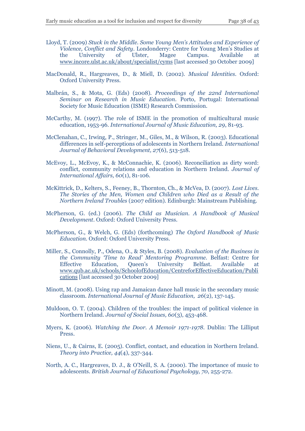- Lloyd, T. (2009) *Stuck in the Middle. Some Young Men's Attitudes and Experience of Violence, Conflict and Safety*. Londonderry: Centre for Young Men's Studies at the University of Ulster, Magee Campus. Available at [www.incore.ulst.ac.uk/about/specialist/cyms](http://www.incore.ulst.ac.uk/about/specialist/cyms) [last accessed 30 October 2009]
- MacDonald, R., Hargreaves, D., & Miell, D. (2002). *Musical Identities.* Oxford: Oxford University Press.
- Malbrán, S., & Mota, G. (Eds) (2008). *Proceedings of the 22nd International Seminar on Research in Music Education*. Porto, Portugal: International Society for Music Education (ISME) Research Commission.
- McCarthy, M. (1997). The role of ISME in the promotion of multicultural music education, 1953-96. *International Journal of Music Education, 29*, 81-93.
- McClenahan, C., Irwing, P., Stringer, M., Giles, M., & Wilson, R. (2003). Educational differences in self-perceptions of adolescents in Northern Ireland. *International Journal of Behavioral Development, 27*(6), 513-518.
- McEvoy, L., McEvoy, K., & McConnachie, K. (2006). Reconciliation as dirty word: conflict, community relations and education in Northern Ireland. *Journal of International Affairs, 60*(1), 81-106.
- McKittrick, D., Kelters, S., Feeney, B., Thornton, Ch., & McVea, D. (2007). *Lost Lives. The Stories of the Men, Women and Children who Died as a Result of the Northern Ireland Troubles* (2007 edition). Edinburgh: Mainstream Publishing.
- McPherson, G. (ed.) (2006). *The Child as Musician. A Handbook of Musical Development*. Oxford: Oxford University Press.
- McPherson, G., & Welch, G. (Eds) (forthcoming) *The Oxford Handbook of Music Education.* Oxford: Oxford University Press.
- Miller, S., Connolly, P., Odena, O., & Styles, B. (2008). *Evaluation of the Business in the Community 'Time to Read' Mentoring Programme.* Belfast: Centre for Effective Education, Queen's University Belfast. Available at [www.qub.ac.uk/schools/SchoolofEducation/CentreforEffectiveEducation/Publi](http://www.qub.ac.uk/schools/SchoolofEducation/CentreforEffectiveEducation/Publications) [cations](http://www.qub.ac.uk/schools/SchoolofEducation/CentreforEffectiveEducation/Publications) [last accessed 30 October 2009]
- Minott, M. (2008). Using rap and Jamaican dance hall music in the secondary music classroom. *International Journal of Music Education, 26*(2), 137-145.
- Muldoon, O. T. (2004). Children of the troubles: the impact of political violence in Northern Ireland. *Journal of Social Issues, 60*(3), 453-468.
- Myers, K. (2006). *Watching the Door. A Memoir 1971-1978*. Dublin: The Lilliput Press.
- Niens, U., & Cairns, E. (2005). Conflict, contact, and education in Northern Ireland. *Theory into Practice, 44*(4), 337-344.
- North, A. C., Hargreaves, D. J., & O'Neill, S. A. (2000). The importance of music to adolescents. *British Journal of Educational Psychology, 70*, 255-272.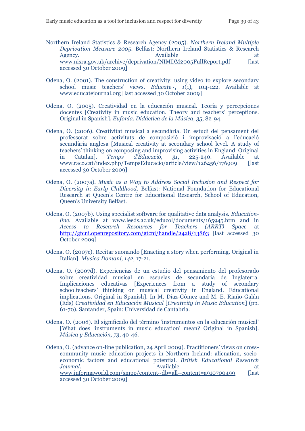- Northern Ireland Statistics & Research Agency (2005). *Northern Ireland Multiple Deprivation Measure 2005*. Belfast: Northern Ireland Statistics & Research Agency. Available at the series of the series at a series at a series at a series at a series at a series at a [www.nisra.gov.uk/archive/deprivation/NIMDM2005FullReport.pdf](http://www.nisra.gov.uk/archive/deprivation/NIMDM2005FullReport.pdf) [last] accessed 30 October 2009]
- Odena, O. (2001). The construction of creativity: using video to explore secondary school music teachers' views. *Educate~*, *1*(1), 104-122. Available at [www.educatejournal.org](http://www.educatejournal.org/) [last accessed 30 October 2009]
- Odena, O. (2005). Creatividad en la educación musical. Teoría y percepciones docentes [Creativity in music education. Theory and teachers' perceptions. Original in Spanish], *Eufonía. Didáctica de la Música, 35*, 82-94.
- Odena, O. (2006). Creativitat musical a secundària. Un estudi del pensament del professorat sobre activitats de composició i improvisació a l'educació secundària anglesa [Musical creativity at secondary school level. A study of teachers' thinking on composing and improvising activities in England. Original in Catalan]. *Temps d'Educació, 31*, 225-240. Available at [www.raco.cat/index.php/TempsEducacio/article/view/126456/176909](http://www.raco.cat/index.php/TempsEducacio/article/view/126456/176909) [last] accessed 30 October 2009]
- Odena, O. (2007a). *Music as a Way to Address Social Inclusion and Respect for Diversity in Early Childhood*. Belfast: National Foundation for Educational Research at Queen's Centre for Educational Research, School of Education, Queen's University Belfast.
- Odena, O. (2007b). Using specialist software for qualitative data analysis. *Educationline.* Available at [www.leeds.ac.uk/educol/documents/165945.htm](http://www.leeds.ac.uk/educol/documents/165945.htm) and in *Access to Research Resources for Teachers (ARRT) Space* at <http://gtcni.openrepository.com/gtcni/handle/2428/13863> [last accessed 30 October 2009]
- Odena, O. (2007c). Recitar suonando [Enacting a story when performing. Original in Italian]. *Musica Domani, 142*, 17-21.
- Odena, O. (2007d). Experiencias de un estudio del pensamiento del profesorado sobre creatividad musical en escuelas de secundaria de Inglaterra. Implicaciones educativas [Experiences from a study of secondary schoolteachers' thinking on musical creativity in England. Educational implications. Original in Spanish]. In M. Díaz-Gómez and M. E. Riaño-Galán (Eds) *Creatividad en Educación Musical* [*Creativity in Music Education*] (pp. 61-70). Santander, Spain: Universidad de Cantabria.
- Odena, O. (2008). El significado del término 'instrumentos en la educación musical' [What does 'instruments in music education' mean? Original in Spanish]. *Música y Educación, 73*, 40-46.
- Odena, O. (advance on-line publication, 24 April 2009). Practitioners' views on crosscommunity music education projects in Northern Ireland: alienation, socioeconomic factors and educational potential. *British Educational Research Journal*. **Available** at the state at the state at the state at the state at the state at the state at the state at the state at the state at  $\alpha$ [www.informaworld.com/smpp/content~db=all~content=a910700499](http://www.informaworld.com/smpp/content~db=all~content=a910700499) [last] accessed 30 October 2009]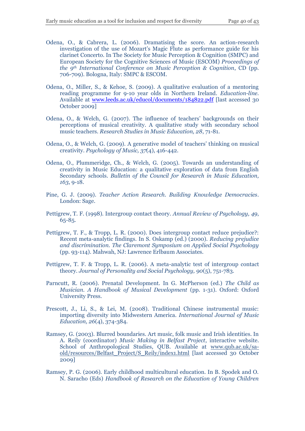- Odena, O., & Cabrera, L. (2006). Dramatising the score. An action-research investigation of the use of Mozart's Magic Flute as performance guide for his clarinet Concerto. In The Society for Music Perception & Cognition (SMPC) and European Society for the Cognitive Sciences of Music (ESCOM) *Proceedings of the 9th International Conference on Music Perception & Cognition*, CD (pp. 706-709). Bologna, Italy: SMPC & ESCOM.
- Odena, O., Miller, S., & Kehoe, S. (2009). A qualitative evaluation of a mentoring reading programme for 9-10 year olds in Northern Ireland. *Education-line.*  Available at [www.leeds.ac.uk/educol/documents/184822.pdf](http://www.leeds.ac.uk/educol/documents/184822.pdf) [last accessed 30 October 2009]
- Odena, O., & Welch, G. (2007). The influence of teachers' backgrounds on their perceptions of musical creativity. A qualitative study with secondary school music teachers. *Research Studies in Music Education, 28*, 71-81.
- Odena, O., & Welch, G. (2009). A generative model of teachers' thinking on musical creativity. *Psychology of Music, 37*(4), 416-442.
- Odena, O., Plummeridge, Ch., & Welch, G. (2005). Towards an understanding of creativity in Music Education: a qualitative exploration of data from English Secondary schools. *Bulletin of the Council for Research in Music Education, 163*, 9-18.
- Pine, G. J. (2009). *Teacher Action Research. Building Knowledge Democracies*. London: Sage.
- Pettigrew, T. F. (1998). Intergroup contact theory. *Annual Review of Psychology, 49*, 65-85.
- Pettigrew, T. F., & Tropp, L. R. (2000). Does intergroup contact reduce prejudice?: Recent meta-analytic findings. In S. Oskamp (ed.) (2000). *Reducing prejudice and discrimination. The Claremont Symposium on Applied Social Psychology* (pp. 93-114). Mahwah, NJ: Lawrence Erlbaum Associates.
- Pettigrew, T. F. & Tropp, L. R. (2006). A meta-analytic test of intergroup contact theory. *Journal of Personality and Social Psychology, 90*(5), 751-783.
- Parncutt, R. (2006). Prenatal Development. In G. McPherson (ed.) *The Child as Musician. A Handbook of Musical Development* (pp. 1-31). Oxford: Oxford University Press.
- Prescott, J., Li, S., & Lei, M. (2008). Traditional Chinese instrumental music: importing diversity into Midwestern America. *International Journal of Music Education, 26*(4), 374-384.
- Ramsey, G. (2003). Blurred boundaries. Art music, folk music and Irish identities. In A. Reily (coordinator) *Music Making in Belfast Project*, interactive website. School of Anthropological Studies, QUB. Available at [www.qub.ac.uk/sa](http://www.qub.ac.uk/sa-old/resources/Belfast_Project/S_Reily/index1.html)[old/resources/Belfast\\_Project/S\\_Reily/index1.html](http://www.qub.ac.uk/sa-old/resources/Belfast_Project/S_Reily/index1.html) [last accessed 30 October 2009]
- Ramsey, P. G. (2006). Early childhood multicultural education. In B. Spodek and O. N. Saracho (Eds) *Handbook of Research on the Education of Young Children*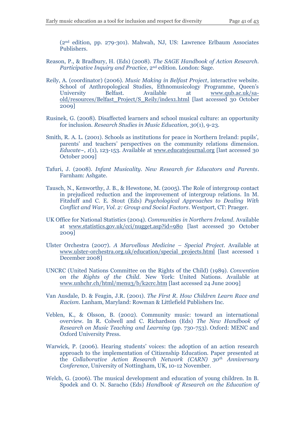(2nd edition, pp. 279-301). Mahwah, NJ, US: Lawrence Erlbaum Associates Publishers.

- Reason, P., & Bradbury, H. (Eds) (2008). *The SAGE Handbook of Action Research. Participative Inquiry and Practice*, 2nd edition. London: Sage.
- Reily, A. (coordinator) (2006). *Music Making in Belfast Project*, interactive website. School of Anthropological Studies, Ethnomusicology Programme, Queen's University Belfast. Available at [www.qub.ac.uk/sa](http://www.qub.ac.uk/sa-old/resources/Belfast_Project/S_Reily/index1.html)[old/resources/Belfast\\_Project/S\\_Reily/index1.html](http://www.qub.ac.uk/sa-old/resources/Belfast_Project/S_Reily/index1.html) [last accessed 30 October 2009]
- Rusinek, G. (2008). Disaffected learners and school musical culture: an opportunity for inclusion. *Research Studies in Music Education, 30*(1), 9-23.
- Smith, R. A. L. (2001). Schools as institutions for peace in Northern Ireland: pupils', parents' and teachers' perspectives on the community relations dimension. *Educate~*, *1*(1), 123-153. Available at [www.educatejournal.org](http://www.educatejournal.org/) [last accessed 30 October 2009]
- Tafuri, J. (2008). *Infant Musicality. New Research for Educators and Parents*. Farnham: Ashgate.
- Tausch, N., Kenworthy, J. B., & Hewstone, M. (2005). The Role of intergroup contact in prejudiced reduction and the improvement of intergroup relations. In M. Fitzduff and C. E. Stout (Eds) *Psychological Approaches to Dealing With Conflict and War, Vol. 2: Group and Social Factors*. Westport, CT: Praeger.
- UK Office for National Statistics (2004). *Communities in Northern Ireland*. Available at [www.statistics.gov.uk/cci/nugget.asp?id=980](http://www.statistics.gov.uk/cci/nugget.asp?id=980) [last accessed 30 October 2009]
- Ulster Orchestra (2007). *A Marvellous Medicine – Special Project*. Available at [www.ulster-orchestra.org.uk/education/special\\_projects.html](http://www.ulster-orchestra.org.uk/education/special_projects.html) [last accessed 1 December 2008]
- UNCRC (United Nations Committee on the Rights of the Child) (1989). *Convention on the Rights of the Child*. New York: United Nations. Available at [www.unhchr.ch/html/menu3/b/k2crc.htm](http://www.unhchr.ch/html/menu3/b/k2crc.htm) [last accessed 24 June 2009]
- Van Ausdale, D. & Feagin, J.R. (2001). *The First R. How Children Learn Race and Racism*. Lanham, Maryland: Rowman & Littlefield Publishers Inc.
- Veblen, K., & Olsson, B. (2002). Community music: toward an international overview. In R. Colwell and C. Richardson (Eds) *The New Handbook of Research on Music Teaching and Learning* (pp. 730-753). Oxford: MENC and Oxford University Press.
- Warwick, P. (2006). Hearing students' voices: the adoption of an action research approach to the implementation of Citizenship Education. Paper presented at the *Collaborative Action Research Network (CARN) 30th Anniversary Conference*, University of Nottingham, UK, 10-12 November.
- Welch, G. (2006). The musical development and education of young children. In B. Spodek and O. N. Saracho (Eds) *Handbook of Research on the Education of*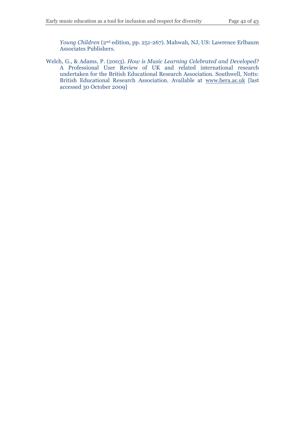*Young Children* (2nd edition, pp. 251-267). Mahwah, NJ, US: Lawrence Erlbaum Associates Publishers.

Welch, G., & Adams, P. (2003). *How is Music Learning Celebrated and Developed?*  A Professional User Review of UK and related international research undertaken for the British Educational Research Association. Southwell, Notts: British Educational Research Association. Available at [www.bera.ac.uk](http://www.bera.ac.uk/) [last accessed 30 October 2009]